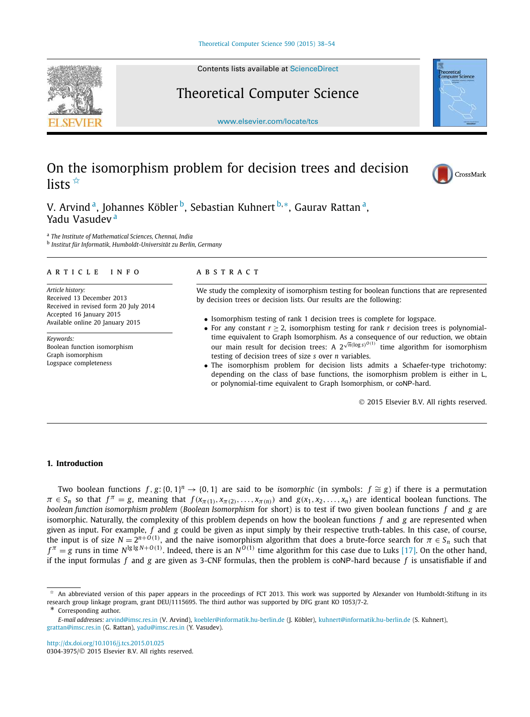Contents lists available at ScienceDirect

## Theoretical Computer Science

www.elsevier.com/locate/tcs

# On the isomorphism problem for decision trees and decision lists  $\overline{\mathbb{R}}$



CrossMark

V. Arvind <sup>a</sup>, Johannes Köbler <sup>b</sup>, Sebastian Kuhnert <sup>b,</sup>\*, Gaurav Rattan <sup>a</sup>, Yadu Vasudev <sup>a</sup>

a *The Institute of Mathematical Sciences, Chennai, India*

b *Institut für Informatik, Humboldt-Universität zu Berlin, Germany*

#### A R T I C L E I N F O A B S T R A C T

*Article history:* Received 13 December 2013 Received in revised form 20 July 2014 Accepted 16 January 2015 Available online 20 January 2015

*Keywords:* Boolean function isomorphism Graph isomorphism Logspace completeness

We study the complexity of isomorphism testing for boolean functions that are represented by decision trees or decision lists. Our results are the following:

- Isomorphism testing of rank 1 decision trees is complete for logspace.
- For any constant  $r \geq 2$ , isomorphism testing for rank *r* decision trees is polynomialtime equivalent to Graph Isomorphism. As a consequence of our reduction, we obtain our main result for decision trees: A  $2^{\sqrt{n}(\log s)^{O(1)}}$  time algorithm for isomorphism testing of decision trees of size *s* over *n* variables.
- The isomorphism problem for decision lists admits a Schaefer-type trichotomy: depending on the class of base functions, the isomorphism problem is either in L, or polynomial-time equivalent to Graph Isomorphism, or coNP-hard.

2015 Elsevier B.V. All rights reserved.

#### **1. Introduction**

Two boolean functions *f*, *g*:{0, 1}<sup>*n*</sup> → {0, 1} are said to be *isomorphic* (in symbols: *f* ≃ *g*) if there is a permutation  $\pi \in S_n$  so that  $f^{\pi} = g$ , meaning that  $f(x_{\pi(1)}, x_{\pi(2)},..., x_{\pi(n)})$  and  $g(x_1, x_2,..., x_n)$  are identical boolean functions. The *boolean function isomorphism problem* (*Boolean Isomorphism* for short) is to test if two given boolean functions *f* and *g* are isomorphic. Naturally, the complexity of this problem depends on how the boolean functions *f* and *g* are represented when given as input. For example, *f* and *g* could be given as input simply by their respective truth-tables. In this case, of course, the input is of size  $N = 2^{n+O(1)}$ , and the naive isomorphism algorithm that does a brute-force search for  $\pi \in S_n$  such that  $f^{\pi} = g$  runs in time *N*<sup> $lg$  *lg N*+*O*(1)</sup>. Indeed, there is an *N<sup>O*(1)</sup> time algorithm for this case due to Luks [17]. On the other hand, if the input formulas *f* and *g* are given as 3-CNF formulas, then the problem is coNP-hard because *f* is unsatisfiable if and

http://dx.doi.org/10.1016/j.tcs.2015.01.025 0304-3975/© 2015 Elsevier B.V. All rights reserved.

<sup>✩</sup> An abbreviated version of this paper appears in the proceedings of FCT 2013. This work was supported by Alexander von Humboldt-Stiftung in its research group linkage program, grant DEU/1115695. The third author was supported by DFG grant KO 1053/7-2.

Corresponding author.

*E-mail addresses:* arvind@imsc.res.in (V. Arvind), koebler@informatik.hu-berlin.de (J. Köbler), kuhnert@informatik.hu-berlin.de (S. Kuhnert), grattan@imsc.res.in (G. Rattan), yadu@imsc.res.in (Y. Vasudev).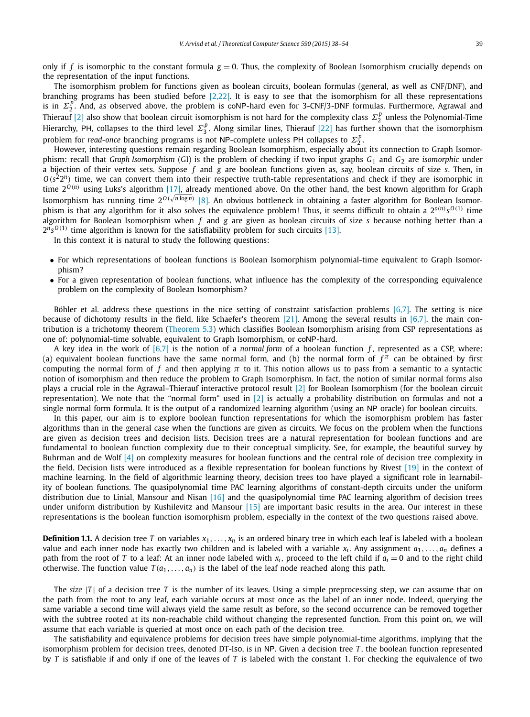only if  $f$  is isomorphic to the constant formula  $g = 0$ . Thus, the complexity of Boolean Isomorphism crucially depends on the representation of the input functions.

The isomorphism problem for functions given as boolean circuits, boolean formulas (general, as well as CNF/DNF), and branching programs has been studied before [2,22]. It is easy to see that the isomorphism for all these representations is in  $\Sigma_2^p$ . And, as observed above, the problem is coNP-hard even for 3-CNF/3-DNF formulas. Furthermore, Agrawal and Thierauf [2] also show that boolean circuit isomorphism is not hard for the complexity class  $\Sigma_2^p$  unless the Polynomial-Time Hierarchy, PH, collapses to the third level  $\Sigma_3^p$ . Along similar lines, Thierauf [22] has further shown that the isomorphism problem for *read-once* branching programs is not NP-complete unless PH collapses to  $\Sigma_2^p$ .

However, interesting questions remain regarding Boolean Isomorphism, especially about its connection to Graph Isomorphism: recall that *Graph Isomorphism* (GI) is the problem of checking if two input graphs *G*<sup>1</sup> and *G*<sup>2</sup> are *isomorphic* under a bijection of their vertex sets. Suppose *f* and *g* are boolean functions given as, say, boolean circuits of size *s*. Then, in  $O(s^2 2^n)$  time, we can convert them into their respective truth-table representations and check if they are isomorphic in time 2<sup>0(*n*)</sup> using Luks's algorithm [17], already mentioned above. On the other hand, the best known algorithm for Graph Isomorphism has running time 2<sup>0 (/n log*n*) [8]. An obvious bottleneck in obtaining a faster algorithm for Boolean Isomor-</sup> phism is that any algorithm for it also solves the equivalence problem! Thus, it seems difficult to obtain a 2<sup>0(n)</sup> s<sup>0(1)</sup> time algorithm for Boolean Isomorphism when *f* and *g* are given as boolean circuits of size *s* because nothing better than a  $2^{n}s^{O(1)}$  time algorithm is known for the satisfiability problem for such circuits [13].

In this context it is natural to study the following questions:

- For which representations of boolean functions is Boolean Isomorphism polynomial-time equivalent to Graph Isomorphism?
- For a given representation of boolean functions, what influence has the complexity of the corresponding equivalence problem on the complexity of Boolean Isomorphism?

Böhler et al. address these questions in the nice setting of constraint satisfaction problems  $[6,7]$ . The setting is nice because of dichotomy results in the field, like Schaefer's theorem [21]. Among the several results in [6,7], the main contribution is a trichotomy theorem (Theorem 5.3) which classifies Boolean Isomorphism arising from CSP representations as one of: polynomial-time solvable, equivalent to Graph Isomorphism, or coNP-hard.

A key idea in the work of [6,7] is the notion of a *normal form* of a boolean function *f* , represented as a CSP, where: (a) equivalent boolean functions have the same normal form, and (b) the normal form of  $f^{\pi}$  can be obtained by first computing the normal form of *f* and then applying π to it. This notion allows us to pass from a semantic to a syntactic notion of isomorphism and then reduce the problem to Graph Isomorphism. In fact, the notion of similar normal forms also plays a crucial role in the Agrawal–Thierauf interactive protocol result [2] for Boolean Isomorphism (for the boolean circuit representation). We note that the "normal form" used in [2] is actually a probability distribution on formulas and not a single normal form formula. It is the output of a randomized learning algorithm (using an NP oracle) for boolean circuits.

In this paper, our aim is to explore boolean function representations for which the isomorphism problem has faster algorithms than in the general case when the functions are given as circuits. We focus on the problem when the functions are given as decision trees and decision lists. Decision trees are a natural representation for boolean functions and are fundamental to boolean function complexity due to their conceptual simplicity. See, for example, the beautiful survey by Buhrman and de Wolf [4] on complexity measures for boolean functions and the central role of decision tree complexity in the field. Decision lists were introduced as a flexible representation for boolean functions by Rivest [19] in the context of machine learning. In the field of algorithmic learning theory, decision trees too have played a significant role in learnability of boolean functions. The quasipolynomial time PAC learning algorithms of constant-depth circuits under the uniform distribution due to Linial, Mansour and Nisan [16] and the quasipolynomial time PAC learning algorithm of decision trees under uniform distribution by Kushilevitz and Mansour [15] are important basic results in the area. Our interest in these representations is the boolean function isomorphism problem, especially in the context of the two questions raised above.

**Definition 1.1.** A decision tree *T* on variables  $x_1, \ldots, x_n$  is an ordered binary tree in which each leaf is labeled with a boolean value and each inner node has exactly two children and is labeled with a variable *x<sup>i</sup>* . Any assignment *a*1,...,*a<sup>n</sup>* defines a path from the root of *T* to a leaf: At an inner node labeled with  $x_i$ , proceed to the left child if  $a_i = 0$  and to the right child otherwise. The function value  $T(a_1, \ldots, a_n)$  is the label of the leaf node reached along this path.

The *size* |*T* | of a decision tree *T* is the number of its leaves. Using a simple preprocessing step, we can assume that on the path from the root to any leaf, each variable occurs at most once as the label of an inner node. Indeed, querying the same variable a second time will always yield the same result as before, so the second occurrence can be removed together with the subtree rooted at its non-reachable child without changing the represented function. From this point on, we will assume that each variable is queried at most once on each path of the decision tree.

The satisfiability and equivalence problems for decision trees have simple polynomial-time algorithms, implying that the isomorphism problem for decision trees, denoted DT-Iso, is in NP. Given a decision tree T, the boolean function represented by *T* is satisfiable if and only if one of the leaves of *T* is labeled with the constant 1. For checking the equivalence of two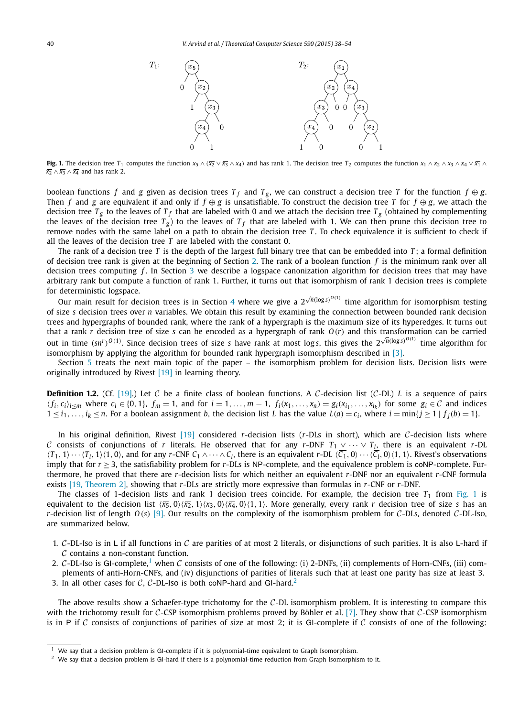

**Fig. 1.** The decision tree  $T_1$  computes the function  $x_5 \wedge (\overline{x_2} \vee \overline{x_3} \wedge x_4)$  and has rank 1. The decision tree  $T_2$  computes the function  $x_1 \wedge x_2 \wedge x_3 \wedge x_4 \vee \overline{x_1} \wedge x_2$  $\overline{x_2} \wedge \overline{x_3} \wedge \overline{x_4}$  and has rank 2.

boolean functions *f* and *g* given as decision trees  $T_f$  and  $T_g$ , we can construct a decision tree *T* for the function  $f \oplus g$ . Then *f* and *g* are equivalent if and only if  $f \oplus g$  is unsatisfiable. To construct the decision tree *T* for  $f \oplus g$ , we attach the decision tree  $T_g$  to the leaves of  $T_f$  that are labeled with 0 and we attach the decision tree  $T_{\bar{g}}$  (obtained by complementing the leaves of the decision tree *T <sup>g</sup>* ) to the leaves of *T <sup>f</sup>* that are labeled with 1. We can then prune this decision tree to remove nodes with the same label on a path to obtain the decision tree *T*. To check equivalence it is sufficient to check if all the leaves of the decision tree *T* are labeled with the constant 0.

The rank of a decision tree *T* is the depth of the largest full binary tree that can be embedded into *T* ; a formal definition of decision tree rank is given at the beginning of Section 2. The rank of a boolean function *f* is the minimum rank over all decision trees computing *f* . In Section 3 we describe a logspace canonization algorithm for decision trees that may have arbitrary rank but compute a function of rank 1. Further, it turns out that isomorphism of rank 1 decision trees is complete for deterministic logspace.

Our main result for decision trees is in Section 4 where we give a  $2^{\sqrt{n}(\log s)^{O(1)}}$  time algorithm for isomorphism testing of size *s* decision trees over *n* variables. We obtain this result by examining the connection between bounded rank decision trees and hypergraphs of bounded rank, where the rank of a hypergraph is the maximum size of its hyperedges. It turns out that a rank *r* decision tree of size *s* can be encoded as a hypergraph of rank *O*(*r*) and this transformation can be carried out in time  $(sn^r)^{O(1)}$ . Since decision trees of size *s* have rank at most logs, this gives the  $2^{\sqrt{n}(\log s)^{O(1)}}$  time algorithm for isomorphism by applying the algorithm for bounded rank hypergraph isomorphism described in [3].

Section 5 treats the next main topic of the paper – the isomorphism problem for decision lists. Decision lists were originally introduced by Rivest [19] in learning theory.

**Definition 1.2.** (Cf. [19].) Let C be a finite class of boolean functions. A C-decision list (C-DL) *L* is a sequence of pairs  $\langle f_i, c_i \rangle_{i \le m}$  where  $c_i \in \{0, 1\}$ ,  $f_m = 1$ , and for  $i = 1, \ldots, m-1$ ,  $f_i(x_1, \ldots, x_n) = g_i(x_{i_1}, \ldots, x_{i_k})$  for some  $g_i \in C$  and indices  $1 \le i_1,\ldots,i_k \le n$ . For a boolean assignment b, the decision list L has the value  $L(a) = c_i$ , where  $i = \min\{j \ge 1 \mid f_j(b) = 1\}$ .

In his original definition, Rivest [19] considered *r*-decision lists (*r*-DLs in short), which are C-decision lists where C consists of conjunctions of *r* literals. He observed that for any *r*-DNF  $T_1 \vee \cdots \vee T_l$ , there is an equivalent *r*-DL  $\langle T_1, 1 \rangle \cdots \langle T_l, 1 \rangle$  $\langle 1, 0 \rangle$ , and for any *r*-CNF  $C_1 \wedge \cdots \wedge C_l$ , there is an equivalent *r*-DL  $\langle C_1, 0 \rangle \cdots \langle C_l, 0 \rangle$  $\langle 1, 1 \rangle$ . Rivest's observations imply that for  $r \geq 3$ , the satisfiability problem for  $r$ -DLs is NP-complete, and the equivalence problem is coNP-complete. Furthermore, he proved that there are *r*-decision lists for which neither an equivalent *r*-DNF nor an equivalent *r*-CNF formula exists [19, Theorem 2], showing that *r*-DLs are strictly more expressive than formulas in *r*-CNF or *r*-DNF.

The classes of 1-decision lists and rank 1 decision trees coincide. For example, the decision tree  $T_1$  from Fig. 1 is equivalent to the decision list  $\langle \overline{x_5}, 0 \rangle \langle \overline{x_2}, 1 \rangle \langle x_3, 0 \rangle \langle \overline{x_4}, 0 \rangle \langle 1, 1 \rangle$ . More generally, every rank *r* decision tree of size *s* has an *r*-decision list of length  $O(s)$  [9]. Our results on the complexity of the isomorphism problem for C-DLs, denoted C-DL-Iso, are summarized below.

- 1. C-DL-Iso is in L if all functions in C are parities of at most 2 literals, or disjunctions of such parities. It is also L-hard if C contains a non-constant function.
- 2. C-DL-Iso is GI-complete,<sup>1</sup> when C consists of one of the following: (i) 2-DNFs, (ii) complements of Horn-CNFs, (iii) complements of anti-Horn-CNFs, and (iv) disjunctions of parities of literals such that at least one parity has size at least 3.
- 3. In all other cases for C, C-DL-Iso is both coNP-hard and GI-hard.<sup>2</sup>

The above results show a Schaefer-type trichotomy for the  $C$ -DL isomorphism problem. It is interesting to compare this with the trichotomy result for C-CSP isomorphism problems proved by Böhler et al. [7]. They show that C-CSP isomorphism is in P if C consists of conjunctions of parities of size at most 2; it is GI-complete if C consists of one of the following:

We say that a decision problem is GI-complete if it is polynomial-time equivalent to Graph Isomorphism.

 $2$  We say that a decision problem is GI-hard if there is a polynomial-time reduction from Graph Isomorphism to it.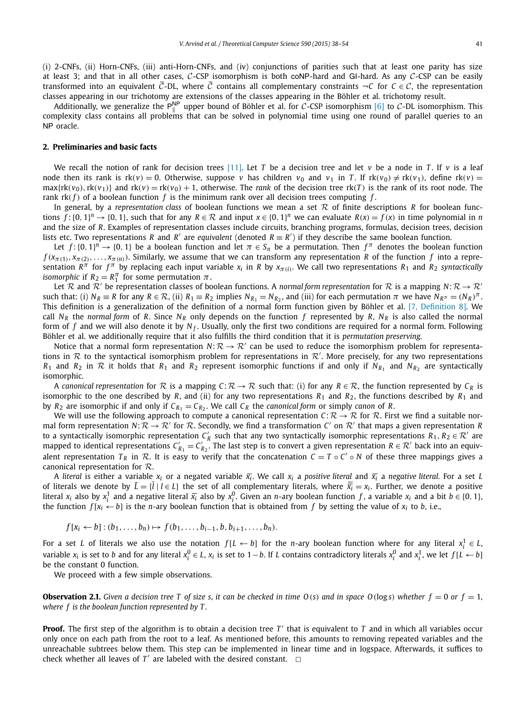(i) 2-CNFs, (ii) Horn-CNFs, (iii) anti-Horn-CNFs, and (iv) conjunctions of parities such that at least one parity has size at least 3; and that in all other cases,  $C$ -CSP isomorphism is both coNP-hard and GI-hard. As any  $C$ -CSP can be easily transformed into an equivalent  $\overline{C}$ -DL, where  $\overline{C}$  contains all complementary constraints  $\neg C$  for  $C \in \mathcal{C}$ , the representation classes appearing in our trichotomy are extensions of the classes appearing in the Böhler et al. trichotomy result.

Additionally, we generalize the P<sup>NP</sup> upper bound of Böhler et al. for C-CSP isomorphism [6] to C-DL isomorphism. This complexity class contains all problems that can be solved in polynomial time using one round of parallel queries to an NP oracle.

#### **2. Preliminaries and basic facts**

We recall the notion of rank for decision trees [11]. Let *T* be a decision tree and let  $v$  be a node in *T*. If  $v$  is a leaf node then its rank is  $rk(v) = 0$ . Otherwise, suppose *v* has children  $v_0$  and  $v_1$  in *T*. If  $rk(v_0) \neq rk(v_1)$ , define  $rk(v) =$  $max{rk(v_0), rk(v_1)}$  and  $rk(v) = rk(v_0) + 1$ , otherwise. The *rank* of the decision tree  $rk(T)$  is the rank of its root node. The rank  $rk(f)$  of a boolean function  $f$  is the minimum rank over all decision trees computing  $f$ .

In general, by a *representation class* of boolean functions we mean a set R of finite descriptions *R* for boolean functions  $f: \{0, 1\}^n \to \{0, 1\}$ , such that for any  $R \in \mathcal{R}$  and input  $x \in \{0, 1\}^n$  we can evaluate  $R(x) = f(x)$  in time polynomial in *n* and the size of *R*. Examples of representation classes include circuits, branching programs, formulas, decision trees, decision lists etc. Two representations *R* and *R'* are *equivalent* (denoted *R*  $\equiv$  *R'*) if they describe the same boolean function.

Let  $f: \{0, 1\}^n \to \{0, 1\}$  be a boolean function and let  $\pi \in S_n$  be a permutation. Then  $f^{\pi}$  denotes the boolean function  $f(x_{\pi(1)}, x_{\pi(2)}, \ldots, x_{\pi(n)})$ . Similarly, we assume that we can transform any representation *R* of the function *f* into a representation  $R^{\pi}$  for  $f^{\pi}$  by replacing each input variable  $x_i$  in  $R$  by  $x_{\pi(i)}$ . We call two representations  $R_1$  and  $R_2$  *syntactically isomorphic* if  $R_2 = R_1^{\pi}$  for some permutation  $\pi$ .

Let R and  $\mathcal{R}'$  be representation classes of boolean functions. A *normal form representation* for R is a mapping  $N: \mathcal{R} \to \mathcal{R}'$ such that: (i)  $N_R \equiv R$  for any  $R \in \mathcal{R}$ , (ii)  $R_1 \equiv R_2$  implies  $N_{R_1} = N_{R_2}$ , and (iii) for each permutation  $\pi$  we have  $N_{R^{\pi}} = (N_R)^{\pi}$ . This definition is a generalization of the definition of a normal form function given by Böhler et al. [7, Definition 8]. We call  $N_R$  the *normal form* of *R*. Since  $N_R$  only depends on the function  $f$  represented by  $R$ ,  $N_R$  is also called the normal form of f and we will also denote it by N<sub>f</sub>. Usually, only the first two conditions are required for a normal form. Following Böhler et al. we additionally require that it also fulfills the third condition that it is *permutation preserving*.

Notice that a normal form representation  $N: \mathcal{R} \to \mathcal{R}'$  can be used to reduce the isomorphism problem for representations in  $R$  to the syntactical isomorphism problem for representations in  $R'$ . More precisely, for any two representations  $R_1$  and  $R_2$  in  $R$  it holds that  $R_1$  and  $R_2$  represent isomorphic functions if and only if  $N_{R_1}$  and  $N_{R_2}$  are syntactically isomorphic.

A *canonical representation* for R is a mapping  $C: \mathbb{R} \to \mathbb{R}$  such that: (i) for any  $R \in \mathbb{R}$ , the function represented by  $C_R$  is isomorphic to the one described by *R*, and (ii) for any two representations  $R_1$  and  $R_2$ , the functions described by  $R_1$  and by  $R_2$  are isomorphic if and only if  $C_{R_1} = C_{R_2}$ . We call  $C_R$  the *canonical form* or simply *canon* of  $R$ .

We will use the following approach to compute a canonical representation  $C: \mathcal{R} \to \mathcal{R}$  for  $\mathcal{R}$ . First we find a suitable normal form representation  $N: \mathcal{R} \to \mathcal{R}'$  for  $\mathcal{R}$ . Secondly, we find a transformation  $C'$  on  $\mathcal{R}'$  that maps a given representation  $R$ to a syntactically isomorphic representation  $C'_R$  such that any two syntactically isomorphic representations  $R_1, R_2 \in \mathcal{R}'$  are mapped to identical representations  $C'_{R_1}=C'_{R_2}$ . The last step is to convert a given representation  $R\in\mathcal{R}'$  back into an equivalent representation  $T_R$  in  $R$ . It is easy to verify that the concatenation  $C = T \circ C' \circ N$  of these three mappings gives a canonical representation for R.

A literal is either a variable x<sub>i</sub> or a negated variable  $\bar{x_i}$ . We call x<sub>i</sub> a positive literal and  $\bar{x_i}$  a negative literal. For a set L of literals we denote by  $L = \{l \mid l \in L\}$  the set of all complementary literals, where  $\overline{x_i} = x_i$ . Further, we denote a positive literal  $x_i$  also by  $x_i^1$  and a negative literal  $\overline{x_i}$  also by  $x_i^0$ . Given an *n*-ary boolean function f, a variable  $x_i$  and a bit  $b \in \{0, 1\}$ , the function  $f[x_i \leftarrow b]$  is the *n*-ary boolean function that is obtained from *f* by setting the value of  $x_i$  to *b*, i.e.,

$$
f[x_i \leftarrow b] : (b_1, ..., b_n) \mapsto f(b_1, ..., b_{i-1}, b, b_{i+1}, ..., b_n).
$$

For a set *L* of literals we also use the notation  $f[L \leftarrow b]$  for the *n*-ary boolean function where for any literal  $x_i^1 \in L$ , variable  $x_i$  is set to b and for any literal  $x_i^0 \in L$ ,  $x_i$  is set to  $1-b$ . If L contains contradictory literals  $x_i^0$  and  $x_i^1$ , we let  $f[L \leftarrow b]$ be the constant 0 function.

We proceed with a few simple observations.

**Observation 2.1.** Given a decision tree T of size s, it can be checked in time  $O(s)$  and in space  $O(\log s)$  whether  $f = 0$  or  $f = 1$ , *where f is the boolean function represented by T .*

**Proof.** The first step of the algorithm is to obtain a decision tree *T* ′ that is equivalent to *T* and in which all variables occur only once on each path from the root to a leaf. As mentioned before, this amounts to removing repeated variables and the unreachable subtrees below them. This step can be implemented in linear time and in logspace. Afterwards, it suffices to check whether all leaves of  $T'$  are labeled with the desired constant.  $\Box$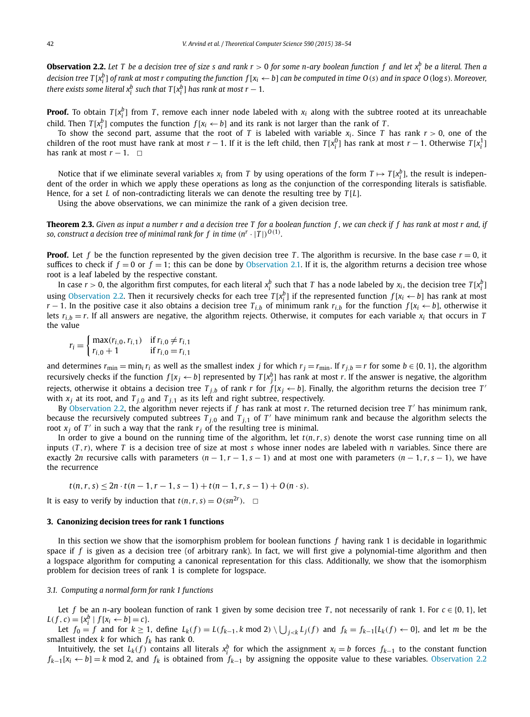**Observation 2.2.** Let T be a decision tree of size s and rank  $r > 0$  for some n-ary boolean function  $f$  and let  $x_i^b$  be a literal. Then a decision tree T[x $^b_i$ ] of rank at most r computing the function  $f$ [x $_i$   $\leftarrow$  b] can be computed in time O(s) and in space O(logs). Moreover, *there exists some literal*  $x_i^b$  *such that*  $T[x_i^b]$  *has rank at most*  $r - 1$ *.* 

**Proof.** To obtain  $T[x_i^b]$  from *T*, remove each inner node labeled with  $x_i$  along with the subtree rooted at its unreachable child. Then  $T[x_i^b]$  computes the function  $f[x_i \leftarrow b]$  and its rank is not larger than the rank of *T*.

To show the second part, assume that the root of *T* is labeled with variable *x<sup>i</sup>* . Since *T* has rank *r* > 0, one of the children of the root must have rank at most *r* − 1. If it is the left child, then  $T[x_i^0]$  has rank at most *r* − 1. Otherwise  $T[x_i^1]$ has rank at most  $r - 1$ .  $\Box$ 

Notice that if we eliminate several variables  $x_i$  from *T* by using operations of the form  $T \mapsto T[x_i^b]$ , the result is indepen*i i dent* of the order in which we apply these operations as long as the conjunction of the corresponding literals is satisfiable. Hence, for a set *L* of non-contradicting literals we can denote the resulting tree by *T* [*L*].

Using the above observations, we can minimize the rank of a given decision tree.

**Theorem 2.3.** Given as input a number  $r$  and a decision tree  $T$  for a boolean function  $f$ , we can check if  $f$  has rank at most  $r$  and, if so, construct a decision tree of minimal rank for  $f$  in time  $(n^r \cdot |T|)^{O(1)}$ .

**Proof.** Let f be the function represented by the given decision tree T. The algorithm is recursive. In the base case  $r = 0$ , it suffices to check if  $f = 0$  or  $f = 1$ ; this can be done by Observation 2.1. If it is, the algorithm returns a decision tree whose root is a leaf labeled by the respective constant.

In case  $r > 0$ , the algorithm first computes, for each literal  $x_i^b$  such that *T* has a node labeled by  $x_i$ , the decision tree  $T[x_i^b]$ using Observation 2.2. Then it recursively checks for each tree  $T[x_i^b]$  if the represented function  $f[x_i \leftarrow b]$  has rank at most *r* − 1. In the positive case it also obtains a decision tree  $T_{i,b}$  of minimum rank  $r_{i,b}$  for the function  $f[x_i \leftarrow b]$ , otherwise it lets  $r_{i,b} = r$ . If all answers are negative, the algorithm rejects. Otherwise, it computes for each variable  $x_i$  that occurs in *T* the value

 $r_i = \begin{cases} \max(r_{i,0}, r_{i,1}) & \text{if } r_{i,0} \neq r_{i,1} \\ r_{i,0} + 1 & \text{if } r_{i,0} = r_{i,1} \end{cases}$  $r_{i,0} + 1$  if  $r_{i,0} = r_{i,1}$ 

and determines  $r_{\min} = \min_i r_i$  as well as the smallest index *j* for which  $r_j = r_{\min}$ . If  $r_{j,b} = r$  for some  $b \in \{0, 1\}$ , the algorithm recursively checks if the function  $f[x_j \leftarrow b]$  represented by  $T[x_j^b]$  has rank at most *r*. If the answer is negative, the algorithm rejects, otherwise it obtains a decision tree  $T_{j,b}$  of rank *r* for  $f[x_j \leftarrow b]$ . Finally, the algorithm returns the decision tree *T*' with  $x_j$  at its root, and  $T_{j,0}$  and  $T_{j,1}$  as its left and right subtree, respectively.

By Observation 2.2, the algorithm never rejects if *f* has rank at most *r*. The returned decision tree *T* ′ has minimum rank, because the recursively computed subtrees  $T_{j,0}$  and  $T_{j,1}$  of  $T'$  have minimum rank and because the algorithm selects the root *x <sup>j</sup>* of *T* ′ in such a way that the rank *r<sup>j</sup>* of the resulting tree is minimal.

In order to give a bound on the running time of the algorithm, let  $t(n, r, s)$  denote the worst case running time on all inputs  $(T, r)$ , where  $T$  is a decision tree of size at most  $s$  whose inner nodes are labeled with  $n$  variables. Since there are exactly 2*n* recursive calls with parameters  $(n-1, r-1, s-1)$  and at most one with parameters  $(n-1, r, s-1)$ , we have the recurrence

 $t(n, r, s) \le 2n \cdot t(n - 1, r - 1, s - 1) + t(n - 1, r, s - 1) + O(n \cdot s).$ 

It is easy to verify by induction that  $t(n, r, s) = O(s n^{2r})$ .  $\Box$ 

#### **3. Canonizing decision trees for rank 1 functions**

In this section we show that the isomorphism problem for boolean functions *f* having rank 1 is decidable in logarithmic space if *f* is given as a decision tree (of arbitrary rank). In fact, we will first give a polynomial-time algorithm and then a logspace algorithm for computing a canonical representation for this class. Additionally, we show that the isomorphism problem for decision trees of rank 1 is complete for logspace.

#### *3.1. Computing a normal form for rank 1 functions*

Let *f* be an *n*-ary boolean function of rank 1 given by some decision tree *T*, not necessarily of rank 1. For  $c \in \{0, 1\}$ , let  $L(f, c) = \{x_i^b | f[x_i \leftarrow b] = c\}.$ 

Let  $f_0 = f$  and for  $k \ge 1$ , define  $L_k(f) = L(f_{k-1}, k \mod 2) \setminus \bigcup_{j < k} L_j(f)$  and  $f_k = f_{k-1}[L_k(f) \leftarrow 0]$ , and let m be the smallest index *k* for which  $f_k$  has rank 0.

Intuitively, the set  $L_k(f)$  contains all literals  $x_i^b$  for which the assignment  $x_i = b$  forces  $f_{k-1}$  to the constant function *f*<sub>*k*−1</sub>[ $x_i$  ← *b*] = *k* mod 2, and *f<sub>k</sub>* is obtained from *f*<sub>*k*−1</sub> by assigning the opposite value to these variables. Observation 2.2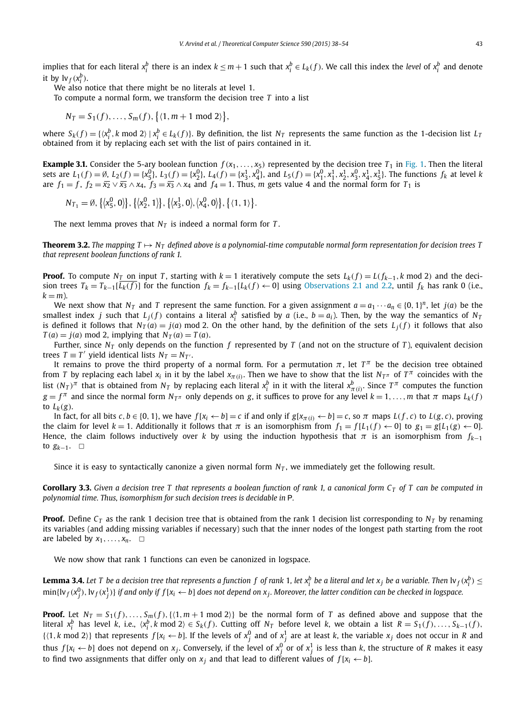implies that for each literal  $x_i^b$  there is an index  $k \le m+1$  such that  $x_i^b \in L_k(f)$ . We call this index the level of  $x_i^b$  and denote it by  $\mathrm{lv}_f(x_i^b)$ .

We also notice that there might be no literals at level 1.

To compute a normal form, we transform the decision tree *T* into a list

 $N_T = S_1(f), \ldots, S_m(f), \{(1, m + 1 \text{ mod } 2)\},\}$ 

where  $S_k(f) = \{ \langle x_i^b, k \mod 2 \rangle \mid x_i^b \in L_k(f) \}$ . By definition, the list  $N_T$  represents the same function as the 1-decision list  $L_T$ obtained from it by replacing each set with the list of pairs contained in it.

**Example 3.1.** Consider the 5-ary boolean function  $f(x_1,...,x_5)$  represented by the decision tree  $T_1$  in Fig. 1. Then the literal sets are  $L_1(f) = \emptyset$ ,  $L_2(f) = \{x_5^0\}$ ,  $L_3(f) = \{x_2^0\}$ ,  $L_4(f) = \{x_3^1, x_4^0\}$ , and  $L_5(f) = \{x_1^0, x_1^1, x_2^1, x_3^0, x_4^1, x_5^1\}$ . The functions  $f_k$  at level k are  $f_1 = f$ ,  $f_2 = \overline{x_2} \vee \overline{x_3} \wedge x_4$ ,  $f_3 = \overline{x_3} \wedge x_4$  and  $f_4 = 1$ . Thus, *m* gets value 4 and the normal form for  $T_1$  is

 $N_{T_1} = \emptyset, \{ \langle x_5^0, 0 \rangle \}, \{ \langle x_2^0, 1 \rangle \}, \{ \langle x_3^1, 0 \rangle, \langle x_4^0, 0 \rangle \}, \{ \langle 1, 1 \rangle \}.$ 

The next lemma proves that  $N_T$  is indeed a normal form for *T*.

**Theorem 3.2.** The mapping  $T \mapsto N_T$  defined above is a polynomial-time computable normal form representation for decision trees T *that represent boolean functions of rank 1.*

**Proof.** To compute *N*<sub>*T*</sub> on input *T*, starting with  $k = 1$  iteratively compute the sets  $L_k(f) = L(f_{k-1}, k \text{ mod } 2)$  and the decision trees  $T_k = T_{k-1}[L_k(f)]$  for the function  $f_k = f_{k-1}[L_k(f) \leftarrow 0]$  using Observations 2.1 and 2.2, until  $f_k$  has rank 0 (i.e.,  $k = m$ ).

We next show that  $N_T$  and *T* represent the same function. For a given assignment  $a = a_1 \cdots a_n \in \{0, 1\}^n$ , let  $j(a)$  be the smallest index *j* such that  $L_j(f)$  contains a literal  $x_i^b$  satisfied by *a* (i.e., *b* = *a*<sub>*i*</sub>). Then, by the way the semantics of *N<sub>T</sub>* is defined it follows that  $N_T(a) = j(a) \mod 2$ . On the other hand, by the definition of the sets  $L_i(f)$  it follows that also  $T(a) = j(a) \text{ mod } 2$ , implying that  $N_T(a) = T(a)$ .

Further, since  $N_T$  only depends on the function f represented by T (and not on the structure of T), equivalent decision  $\text{trees } T \equiv T' \text{ yield identical lists } N_T = N_T'.$ 

It remains to prove the third property of a normal form. For a permutation  $\pi$ , let  $T^{\pi}$  be the decision tree obtained from *T* by replacing each label  $x_i$  in it by the label  $x_{\pi(i)}$ . Then we have to show that the list  $N_{T^{\pi}}$  of  $T^{\pi}$  coincides with the list  $(N_T)^\pi$  that is obtained from  $N_T$  by replacing each literal  $x^b_i$  in it with the literal  $x^b_{\pi(i)}$ . Since  $T^\pi$  computes the function  $g = f^{\pi}$  and since the normal form  $N_{T^{\pi}}$  only depends on *g*, it suffices to prove for any level  $k = 1, \ldots, m$  that  $\pi$  maps  $L_k(f)$ to  $L_k(g)$ .

In fact, for all bits c,  $b \in \{0, 1\}$ , we have  $f[x_i \leftarrow b] = c$  if and only if  $g[x_{\pi(i)} \leftarrow b] = c$ , so  $\pi$  maps  $L(f, c)$  to  $L(g, c)$ , proving the claim for level  $k = 1$ . Additionally it follows that  $\pi$  is an isomorphism from  $f_1 = f[L_1(f) \leftarrow 0]$  to  $g_1 = g[L_1(g) \leftarrow 0]$ . Hence, the claim follows inductively over *k* by using the induction hypothesis that  $\pi$  is an isomorphism from  $f_{k-1}$ to  $g_{k-1}$ .  $□$ 

Since it is easy to syntactically canonize a given normal form *N<sup>T</sup>* , we immediately get the following result.

**Corollary 3.3.** Given a decision tree T that represents a boolean function of rank 1, a canonical form  $C_T$  of T can be computed in *polynomial time. Thus, isomorphism for such decision trees is decidable in* P*.*

**Proof.** Define  $C_T$  as the rank 1 decision tree that is obtained from the rank 1 decision list corresponding to  $N_T$  by renaming its variables (and adding missing variables if necessary) such that the inner nodes of the longest path starting from the root are labeled by  $x_1, \ldots, x_n$ .  $\Box$ 

We now show that rank 1 functions can even be canonized in logspace.

**Lemma 3.4.** Let T be a decision tree that represents a function f of rank 1, let  $x_i^b$  be a literal and let  $x_j$  be a variable. Then  $\ln f(x_i^b) \leq$  $\min\{\mathsf{lv}_f(\mathsf{x}_j^0),\mathsf{lv}_f(\mathsf{x}_j^1)\}$  if and only if  $f[\mathsf{x}_i\leftarrow b]$  does not depend on  $\mathsf{x}_j$ . Moreover, the latter condition can be checked in logspace.

**Proof.** Let  $N_T = S_1(f), \ldots, S_m(f), \{(1, m+1 \text{ mod } 2)\}\)$  be the normal form of *T* as defined above and suppose that the literal  $x_i^b$  has level k, i.e.,  $\langle x_i^b, k \mod 2 \rangle \in S_k(f)$ . Cutting off  $N_T$  before level k, we obtain a list  $R = S_1(f), \ldots, S_{k-1}(f)$ ,  $\{(1, k \text{ mod } 2)\}$  that represents  $f[x_i \leftarrow b]$ . If the levels of  $x_j^0$  and of  $x_j^1$  are at least *k*, the variable  $x_j$  does not occur in *R* and thus  $f[x_i \leftarrow b]$  does not depend on  $x_j$ . Conversely, if the level of  $x_j^0$  or of  $x_j^1$  is less than  $k$ , the structure of  $R$  makes it easy to find two assignments that differ only on  $x_i$  and that lead to different values of  $f[x_i \leftarrow b]$ .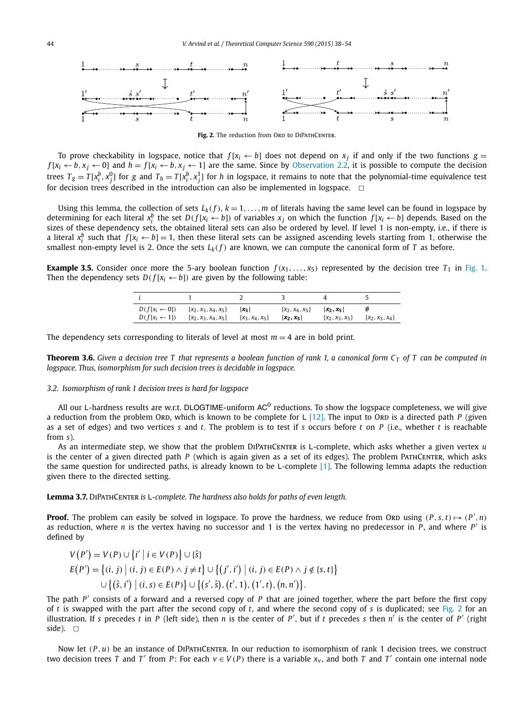

Fig. 2. The reduction from ORD to DIPATHCENTER.

To prove checkability in logspace, notice that  $f[x_i \leftarrow b]$  does not depend on  $x_j$  if and only if the two functions  $g =$  $f[x_i \leftarrow b, x_j \leftarrow 0]$  and  $h = f[x_i \leftarrow b, x_j \leftarrow 1]$  are the same. Since by Observation 2.2, it is possible to compute the decision trees  $T_g=T[x_i^b,x_j^0]$  for g and  $T_h=T[x_i^b,x_j^1]$  for h in logspace, it remains to note that the polynomial-time equivalence test for decision trees described in the introduction can also be implemented in logspace.  $\Box$ 

Using this lemma, the collection of sets  $L_k(f)$ ,  $k = 1, \ldots, m$  of literals having the same level can be found in logspace by determining for each literal  $x_i^b$  the set  $D(f[x_i \leftarrow b])$  of variables  $x_j$  on which the function  $f[x_i \leftarrow b]$  depends. Based on the sizes of these dependency sets, the obtained literal sets can also be ordered by level. If l a literal  $x_i^b$  such that  $f[x_i \leftarrow b] = 1$ , then these literal sets can be assigned ascending levels starting from 1, otherwise the smallest non-empty level is 2. Once the sets  $L_k(f)$  are known, we can compute the canonical form of *T* as before.

**Example 3.5.** Consider once more the 5-ary boolean function  $f(x_1, \ldots, x_5)$  represented by the decision tree  $T_1$  in Fig. 1. Then the dependency sets  $D(f[x_i \leftarrow b])$  are given by the following table:

| $D(f[x_i \leftarrow 0])$ | $\{x_2, x_3, x_4, x_5\}$ | $\{x_5\}$           | $\{x_2, x_4, x_5\}$ | $\{x_2, x_5\}$      | $\{x_2, x_3, x_4\}$ |
|--------------------------|--------------------------|---------------------|---------------------|---------------------|---------------------|
| $D(f[x_i \leftarrow 1])$ | $\{x_2, x_3, x_4, x_5\}$ | $\{x_3, x_4, x_5\}$ | $\{x_2, x_5\}$      | $\{x_2, x_3, x_5\}$ |                     |

The dependency sets corresponding to literals of level at most  $m = 4$  are in bold print.

**Theorem 3.6.** Given a decision tree T that represents a boolean function of rank 1, a canonical form  $C_T$  of T can be computed in *logspace. Thus, isomorphism for such decision trees is decidable in logspace.*

#### *3.2. Isomorphism of rank 1 decision trees is hard for logspace*

All our L-hardness results are w.r.t. DLOGTIME-uniform AC $^0$  reductions. To show the logspace completeness, we will give a reduction from the problem ORD, which is known to be complete for  $L$  [12]. The input to ORD is a directed path *P* (given as a set of edges) and two vertices *s* and *t*. The problem is to test if *s* occurs before *t* on *P* (i.e., whether *t* is reachable from *s*).

As an intermediate step, we show that the problem DiPathCenter is L-complete, which asks whether a given vertex *u* is the center of a given directed path *P* (which is again given as a set of its edges). The problem PathCenter, which asks the same question for undirected paths, is already known to be L-complete  $[1]$ . The following lemma adapts the reduction given there to the directed setting.

**Lemma 3.7.** DiPathCenter *is* L*-complete. The hardness also holds for paths of even length.*

**Proof.** The problem can easily be solved in logspace. To prove the hardness, we reduce from ORD using  $(P, s, t) \mapsto (P', n)$ as reduction, where *n* is the vertex having no successor and 1 is the vertex having no predecessor in P, and where P' is defined by

$$
V(P') = V(P) \cup \{i' \mid i \in V(P)\} \cup \{\hat{s}\}
$$
  
\n
$$
E(P') = \{(i, j) \mid (i, j) \in E(P) \land j \neq t\} \cup \{(j', i') \mid (i, j) \in E(P) \land j \neq \{s, t\}\}
$$
  
\n
$$
\cup \{(\hat{s}, i') \mid (i, s) \in E(P)\} \cup \{(\mathbf{s}', \hat{\mathbf{s}}), (\mathbf{t}', 1), (1', t), (n, n')\}.
$$

The path *P* ′ consists of a forward and a reversed copy of *P* that are joined together, where the part before the first copy of *t* is swapped with the part after the second copy of *t*, and where the second copy of *s* is duplicated; see Fig. 2 for an illustration. If *s* precedes *t* in *P* (left side), then *n* is the center of *P* ′ , but if *t* precedes *s* then *n* ′ is the center of *P* ′ (right side).  $\square$ 

Now let  $(P, u)$  be an instance of DIPATHCENTER. In our reduction to isomorphism of rank 1 decision trees, we construct two decision trees T and T' from P: For each  $v \in V(P)$  there is a variable  $x_v$ , and both T and T' contain one internal node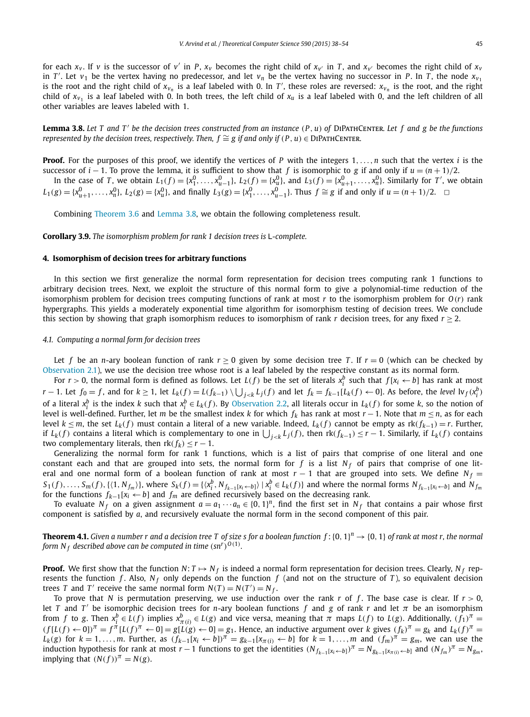for each  $x_v$ . If v is the successor of v' in P,  $x_v$  becomes the right child of  $x_{v'}$  in T, and  $x_{v'}$  becomes the right child of  $x_v$ in *T'*. Let  $v_1$  be the vertex having no predecessor, and let  $v_n$  be the vertex having no successor in *P*. In *T*, the node  $x_{v_1}$ is the root and the right child of  $x_{v_n}$  is a leaf labeled with 0. In T', these roles are reversed:  $x_{v_n}$  is the root, and the right child of  $x_{v_1}$  is a leaf labeled with 0. In both trees, the left child of  $x_u$  is a leaf labeled with 0, and the left children of all other variables are leaves labeled with 1.

**Lemma 3.8.** Let T and T' be the decision trees constructed from an instance  $(P, u)$  of DIPATHCENTER. Let f and g be the functions *represented by the decision trees, respectively. Then,*  $f \cong g$  *if and only if*  $(P, u) \in \text{DIPATHCENTER}$ .

**Proof.** For the purposes of this proof, we identify the vertices of *P* with the integers 1,...,*n* such that the vertex *i* is the successor of *i* − 1. To prove the lemma, it is sufficient to show that *f* is isomorphic to *g* if and only if  $u = (n + 1)/2$ .

In the case of T, we obtain  $L_1(f) = \{x_1^0, \ldots, x_{u-1}^0\}$ ,  $L_2(f) = \{x_u^0\}$ , and  $L_3(f) = \{x_{u+1}^0, \ldots, x_n^0\}$ . Similarly for T', we obtain  $L_1(g) = \{x_{u+1}^0, \ldots, x_n^0\}, L_2(g) = \{x_u^0\},$  and finally  $L_3(g) = \{x_1^0, \ldots, x_{u-1}^0\}.$  Thus  $f \cong g$  if and only if  $u = (n+1)/2$ .  $\Box$ 

Combining Theorem 3.6 and Lemma 3.8, we obtain the following completeness result.

**Corollary 3.9.** *The isomorphism problem for rank 1 decision trees is* L*-complete.*

#### **4. Isomorphism of decision trees for arbitrary functions**

In this section we first generalize the normal form representation for decision trees computing rank 1 functions to arbitrary decision trees. Next, we exploit the structure of this normal form to give a polynomial-time reduction of the isomorphism problem for decision trees computing functions of rank at most *r* to the isomorphism problem for *O*(*r*) rank hypergraphs. This yields a moderately exponential time algorithm for isomorphism testing of decision trees. We conclude this section by showing that graph isomorphism reduces to isomorphism of rank *r* decision trees, for any fixed  $r \ge 2$ .

#### *4.1. Computing a normal form for decision trees*

Let *f* be an *n*-ary boolean function of rank  $r > 0$  given by some decision tree *T*. If  $r = 0$  (which can be checked by Observation 2.1), we use the decision tree whose root is a leaf labeled by the respective constant as its normal form.

For  $r > 0$ , the normal form is defined as follows. Let  $L(f)$  be the set of literals  $x_i^b$  such that  $f[x_i \leftarrow b]$  has rank at most  $r-1$ . Let  $f_0 = f$ , and for  $k \ge 1$ , let  $L_k(f) = L(f_{k-1}) \setminus \bigcup_{j \le k} L_j(f)$  and let  $f_k = f_{k-1}[L_k(f) \leftarrow 0]$ . As before, the level  $\mathrm{lv}_f(x_i^b)$ of a literal  $x_i^b$  is the index k such that  $x_i^b \in L_k(f)$ . By Observation 2.2, all literals occur in  $L_k(f)$  for some k, so the notion of level is well-defined. Further, let *m* be the smallest index *k* for which *f<sup>k</sup>* has rank at most *r* −1. Note that *m* ≤ *n*, as for each level  $k \leq m$ , the set  $L_k(f)$  must contain a literal of a new variable. Indeed,  $L_k(f)$  cannot be empty as  $rk(f_{k-1}) = r$ . Further, if  $L_k(f)$  contains a literal which is complementary to one in  $\bigcup_{j < k} L_j(f)$ , then  $rk(f_{k-1}) \le r-1$ . Similarly, if  $L_k(f)$  contains two complementary literals, then  $rk(f_k) \leq r - 1$ .

Generalizing the normal form for rank 1 functions, which is a list of pairs that comprise of one literal and one constant each and that are grouped into sets, the normal form for  $f$  is a list  $N_f$  of pairs that comprise of one literal and one normal form of a boolean function of rank at most  $r - 1$  that are grouped into sets. We define  $N_f =$  $S_1(f), \ldots, S_m(f), \{(1, N_{f_m})\},$  where  $S_k(f) = \{(x_i^b, N_{f_{k-1}[x_i \leftarrow b]}) \mid x_i^b \in L_k(f)\}$  and where the normal forms  $N_{f_{k-1}[x_i \leftarrow b]}$  and  $N_{f_m}[x_i^b]$ for the functions  $f_{k-1}[x_i \leftarrow b]$  and  $f_m$  are defined recursively based on the decreasing rank.

To evaluate  $N_f$  on a given assignment  $a = a_1 \cdots a_n \in \{0, 1\}^n$ , find the first set in  $N_f$  that contains a pair whose first component is satisfied by *a*, and recursively evaluate the normal form in the second component of this pair.

**Theorem 4.1.** Given a number r and a decision tree T of size s for a boolean function  $f: \{0, 1\}^n \to \{0, 1\}$  of rank at most r, the normal *form N<sub>f</sub> described above can be computed in time*  $(\text{sn}^r)^{O(1)}.$ 

**Proof.** We first show that the function  $N: T \mapsto N_f$  is indeed a normal form representation for decision trees. Clearly,  $N_f$  represents the function *f*. Also,  $N_f$  only depends on the function *f* (and not on the structure of *T*), so equivalent decision trees *T* and *T'* receive the same normal form  $N(T) = N(T') = N_f$ .

To prove that *N* is permutation preserving, we use induction over the rank *r* of *f*. The base case is clear. If  $r > 0$ , let *T* and *T'* be isomorphic decision trees for *n*-ary boolean functions f and g of rank  $r$  and let  $\pi$  be an isomorphism from f to g. Then  $x_i^b \in L(f)$  implies  $x_{\pi(i)}^b \in L(g)$  and vice versa, meaning that  $\pi$  maps  $L(f)$  to  $L(g)$ . Additionally,  $(f_1)^{\pi} =$  $(f[L(f) \leftarrow 0])^{\pi} = f^{\pi}[L(f)^{\pi} \leftarrow 0] = g[L(g) \leftarrow 0] = g_1$ . Hence, an inductive argument over k gives  $(f_k)^{\pi} = g_k$  and  $L_k(f)^{\pi} = g_k$  $L_k(g)$  for  $k = 1, ..., m$ . Further, as  $(f_{k-1}[x_i \leftarrow b])^{\pi} = g_{k-1}[x_{\pi(i)} \leftarrow b]$  for  $k = 1, ..., m$  and  $(f_m)^{\pi} = g_m$ , we can use the induction hypothesis for rank at most  $r-1$  functions to get the identities  $(N_{f_{k-1}[x_i \leftarrow b]})^T = N_{g_{k-1}[x_{\pi(i)} \leftarrow b]}$  and  $(N_{f_m})^T = N_{g_m}$ implying that  $(N(f))^{\pi} = N(g)$ .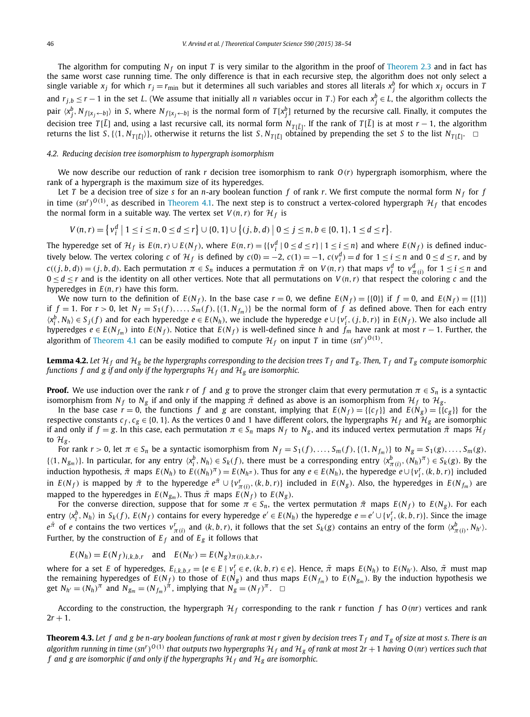The algorithm for computing  $N_f$  on input *T* is very similar to the algorithm in the proof of Theorem 2.3 and in fact has the same worst case running time. The only difference is that in each recursive step, the algorithm does not only select a single variable  $x_j$  for which  $r_j = r_{\min}$  but it determines all such variables and stores all literals  $x_j^b$  for which  $x_j$  occurs in *T* and  $r_{j,b} \le r-1$  in the set *L*. (We assume that initially all *n* variables occur in *T*.) For each  $x_j^b \in L$ , the algorithm collects the pair  $\langle x_j^b, N_{f[x_j \leftarrow b]} \rangle$  in S, where  $N_{f[x_j \leftarrow b]}$  is the normal form of  $T[x_j^b]$  returned by the recursive call. Finally, it computes the decision tree *<sup>T</sup>* [*L*] and, using <sup>a</sup> last recursive call, its normal form *<sup>N</sup><sup>T</sup>* [*L*] . If the rank of *T* [*L*] is at most *r* − 1, the algorithm returns the list *S*, { $\langle 1, N_{T[\bar{L}]}\rangle$ }, otherwise it returns the list *S*,  $N_{T[\bar{L}]}$  obtained by prepending the set *S* to the list  $N_{T[\bar{L}]}$ .

#### *4.2. Reducing decision tree isomorphism to hypergraph isomorphism*

We now describe our reduction of rank *r* decision tree isomorphism to rank *O*(*r*) hypergraph isomorphism, where the rank of a hypergraph is the maximum size of its hyperedges.

Let *T* be a decision tree of size *s* for an *n*-ary boolean function *f* of rank *r*. We first compute the normal form *N <sup>f</sup>* for *f* in time (sn<sup>r</sup>)<sup>O(1)</sup>, as described in Theorem 4.1. The next step is to construct a vertex-colored hypergraph  $\mathcal{H}_f$  that encodes the normal form in a suitable way. The vertex set  $V(n,r)$  for  $\mathcal{H}_f$  is

$$
V(n,r) = \left\{ v_i^d \mid 1 \leq i \leq n, 0 \leq d \leq r \right\} \cup \left\{ 0, 1 \right\} \cup \left\{ (j, b, d) \mid 0 \leq j \leq n, b \in \{0, 1\}, 1 \leq d \leq r \right\}.
$$

The hyperedge set of  $\mathcal{H}_f$  is  $E(n,r) \cup E(N_f)$ , where  $E(n,r) = \{ \{v_i^d \mid 0 \le d \le r\} \mid 1 \le i \le n \}$  and where  $E(N_f)$  is defined inductively below. The vertex coloring *c* of  $\mathcal{H}_f$  is defined by  $c(0) = -2$ ,  $c(1) = -1$ ,  $c(v_i^d) = d$  for  $1 \le i \le n$  and  $0 \le d \le r$ , and by  $c((j,b,d)) = (j,b,d)$ . Each permutation  $\pi \in S_n$  induces a permutation  $\tilde{\pi}$  on  $V(n,r)$  that maps  $v_i^d$  to  $v_{\pi(i)}^d$  for  $1 \leq i \leq n$  and  $0 \le d \le r$  and is the identity on all other vertices. Note that all permutations on  $V(n,r)$  that respect the coloring *c* and the hyperedges in  $E(n, r)$  have this form.

We now turn to the definition of  $E(N_f)$ . In the base case  $r = 0$ , we define  $E(N_f) = \{\{0\}\}\$  if  $f = 0$ , and  $E(N_f) = \{\{1\}\}\$ if  $f = 1$ . For  $r > 0$ , let  $N_f = S_1(f), \ldots, S_m(f), \{(1, N_{f_m})\}$  be the normal form of  $f$  as defined above. Then for each entry  $\langle x_i^b, N_h \rangle \in S_j(f)$  and for each hyperedge  $e \in E(N_h)$ , we include the hyperedge  $e \cup \{v_i^r, (j, b, r)\}\$  in  $E(N_f)$ . We also include all hyperedges  $e \in E(N_{f_m})$  into  $E(N_f)$ . Notice that  $E(N_f)$  is well-defined since h and  $f_m$  have rank at most  $r-1$ . Further, the algorithm of Theorem 4.1 can be easily modified to compute  $\mathcal{H}_f$  on input *T* in time  $(sn^r)^{O(1)}$ .

**Lemma 4.2.** Let  $H_f$  and  $H_g$  be the hypergraphs corresponding to the decision trees  $T_f$  and  $T_g$ . Then,  $T_f$  and  $T_g$  compute isomorphic *functions f* and *g if* and only *if* the *hypergraphs*  $H_f$  *and*  $H_g$  *are isomorphic.* 

**Proof.** We use induction over the rank *r* of *f* and *g* to prove the stronger claim that every permutation  $\pi \in S_n$  is a syntactic isomorphism from  $N_f$  to  $N_g$  if and only if the mapping  $\tilde{\pi}$  defined as above is an isomorphism from  $\mathcal{H}_f$  to  $\mathcal{H}_g$ .

In the base case  $\dot{r} = 0$ , the functions *f* and *g* are constant, implying that  $E(N_f) = \{\{c_f\}\}\$ and  $E(N_g) = \{\{c_g\}\}\$  for the respective constants  $c_f$ ,  $c_g \in \{0, 1\}$ . As the vertices 0 and 1 have different colors, the hypergraphs  $\mathcal{H}_f$  and  $\mathcal{H}_g$  are isomorphic if and only if  $f = g$ . In this case, each permutation  $\pi \in S_n$  maps  $N_f$  to  $N_g$ , and its induced vertex permutation  $\tilde{\pi}$  maps  $\mathcal{H}_j$ to  $\mathcal{H}_{g}$ .

For rank  $r > 0$ , let  $\pi \in S_n$  be a syntactic isomorphism from  $N_f = S_1(f), \ldots, S_m(f), \{(1, N_{f_m})\}$  to  $N_g = S_1(g), \ldots, S_m(g),$  $\{(1, N_{g_m})\}$ . In particular, for any entry  $\langle x_i^b, N_h \rangle \in S_k(f)$ , there must be a corresponding entry  $\langle x_{\pi(i)}^b, (N_h)^\pi \rangle \in S_k(g)$ . By the induction hypothesis,  $\tilde{\pi}$  maps  $E(N_h)$  to  $E((N_h)^{\pi}) = E(N_h^{\pi})$ . Thus for any  $e \in E(N_h)$ , the hyperedge  $e \cup \{v_i^r, (k, b, r)\}$  included in  $E(N_f)$  is mapped by  $\tilde{\pi}$  to the hyperedge  $e^{\tilde{\pi}}\cup\{v_{\pi(i)}^r, (k,b,r)\}$  included in  $E(N_g)$ . Also, the hyperedges in  $E(N_{f_m})$  are mapped to the hyperedges in  $E(N_{g_m})$ . Thus  $\tilde{\pi}$  maps  $E(N_f)$  to  $E(N_g)$ .

For the converse direction, suppose that for some  $\pi \in S_n$ , the vertex permutation  $\tilde{\pi}$  maps  $E(N_f)$  to  $E(N_g)$ . For each entry  $\langle x_i^b, N_h \rangle$  in  $S_k(f)$ ,  $E(N_f)$  contains for every hyperedge  $e' \in E(N_h)$  the hyperedge  $e = e' \cup \{v_i^r, (k, b, r)\}\)$ . Since the image  $e^{\tilde{\pi}}$  of e contains the two vertices  $v_{\pi(i)}^r$  and  $(k,b,r)$ , it follows that the set  $S_k(g)$  contains an entry of the form  $\langle x_{\pi(i)}^b, N_{h'}\rangle$ . Further, by the construction of  $E_f$  and of  $E_g$  it follows that

$$
E(N_h) = E(N_f)_{i,k,b,r}
$$
 and  $E(N_{h'}) = E(N_g)_{\pi(i),k,b,r}$ ,

where for a set E of hyperedges,  $E_{i,k,b,r} = \{e \in E \mid v_i^r \in e, (k, b, r) \in e\}$ . Hence,  $\tilde{\pi}$  maps  $E(N_h)$  to  $E(N_{h'})$ . Also,  $\tilde{\pi}$  must map the remaining hyperedges of  $E(N_f)$  to those of  $E(N_g)$  and thus maps  $E(N_{f_m})$  to  $E(N_{g_m})$ . By the induction hypothesis we get  $N_{h'} = (N_h)^\pi$  and  $N_{g_m} = (N_{f_m})^\pi$ , implying that  $N_g = (N_f)^\pi$ .  $\Box$ 

According to the construction, the hypergraph  $H_f$  corresponding to the rank *r* function *f* has  $O(nr)$  vertices and rank  $2r + 1$ .

**Theorem 4.3.** Let f and g be n-ary boolean functions of rank at most r given by decision trees  $T_f$  and  $T_g$  of size at most s. There is an algorithm running in time (sn<sup>r</sup>)<sup>O(1)</sup> that outputs two hypergraphs  $\mathcal{H}_f$  and  $\mathcal{H}_g$  of rank at most 2r + 1 having O(nr) vertices such that *f* and g are isomorphic if and only if the hypergraphs  $\mathcal{H}_f$  and  $\mathcal{H}_g$  are isomorphic.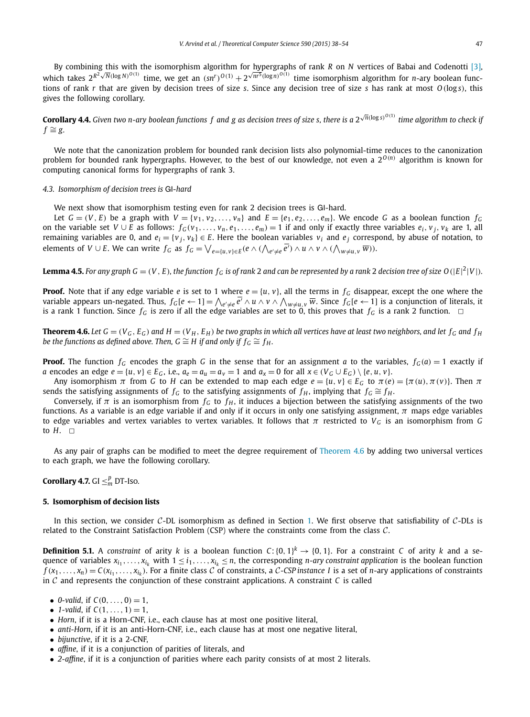By combining this with the isomorphism algorithm for hypergraphs of rank *R* on *N* vertices of Babai and Codenotti [3], which takes  $2^{R^2 \sqrt{N}(\log N)^{O(1)}}$  time, we get an  $(sn^r)^{O(1)} + 2^{\sqrt{n^5}(\log n)^{O(1)}}$  time isomorphism algorithm for *n*-ary boolean functions of rank *r* that are given by decision trees of size *s*. Since any decision tree of size *s* has rank at most *O*(log *s*), this gives the following corollary.

**Corollary 4.4.** Given two n-ary boolean functions  $f$  and  $g$  as decision trees of size s, there is a 2 $\sqrt{n}(\log s)^{O(1)}$  time algorithm to check ij  $f ≅ g$ .

We note that the canonization problem for bounded rank decision lists also polynomial-time reduces to the canonization problem for bounded rank hypergraphs. However, to the best of our knowledge, not even a 2<sup>0(*n*)</sup> algorithm is known for computing canonical forms for hypergraphs of rank 3.

#### *4.3. Isomorphism of decision trees is* GI*-hard*

We next show that isomorphism testing even for rank 2 decision trees is GI-hard.

Let  $G = (V, E)$  be a graph with  $V = \{v_1, v_2, ..., v_n\}$  and  $E = \{e_1, e_2, ..., e_m\}$ . We encode G as a boolean function  $f_G$ on the variable set  $V \cup E$  as follows:  $f_G(v_1, \ldots, v_n, e_1, \ldots, e_m) = 1$  if and only if exactly three variables  $e_i, v_j, v_k$  are 1, all remaining variables are 0, and  $e_i = \{v_j, v_k\} \in E$ . Here the boolean variables  $v_i$  and  $e_j$  correspond, by abuse of notation, to elements of  $V\cup E$ . We can write  $f_G$  as  $f_G=\bigvee_{e=\{u,v\}\in E} (e\wedge(\bigwedge_{e'\neq e}e')\wedge u\wedge v\wedge (\bigwedge_{w\neq u,v}\overline{w})).$ 

**Lemma 4.5.** For any graph  $G = (V, E)$ , the function  $f_G$  is of rank 2 and can be represented by a rank 2 decision tree of size  $O(|E|^2|V|)$ .

**Proof.** Note that if any edge variable *e* is set to 1 where  $e = \{u, v\}$ , all the terms in  $f_G$  disappear, except the one where the variable appears un-negated. Thus,  $f_G[e \leftarrow 1] = \bigwedge_{e' \neq e} e' \wedge u \wedge v \wedge \bigwedge_{w \neq u,v} \overline{w}$ . Since  $f_G[e \leftarrow 1]$  is a conjunction of literals, it is a rank 1 function. Since  $f_G$  is zero if all the edge variables are set to 0, this proves that  $f_G$  is a rank 2 function.  $\Box$ 

**Theorem 4.6.** Let  $G = (V_G, E_G)$  and  $H = (V_H, E_H)$  be two graphs in which all vertices have at least two neighbors, and let  $f_G$  and  $f_H$ *be the functions as defined above. Then, G*  $\cong$  *H if and only if*  $f_G \cong f_H$ *.* 

**Proof.** The function  $f_G$  encodes the graph *G* in the sense that for an assignment *a* to the variables,  $f_G(a) = 1$  exactly if a encodes an edge  $e = \{u, v\} \in E_G$ , i.e.,  $a_e = a_u = a_v = 1$  and  $a_x = 0$  for all  $x \in (V_G \cup E_G) \setminus \{e, u, v\}$ .

Any isomorphism  $\pi$  from *G* to *H* can be extended to map each edge  $e = \{u, v\} \in E_G$  to  $\pi(e) = \{\pi(u), \pi(v)\}$ . Then  $\pi$ sends the satisfying assignments of *f<sub>G</sub>* to the satisfying assignments of *f<sub>H</sub>*, implying that *f<sub>G</sub>*  $\cong$  *f<sub>H</sub>*.

Conversely, if  $\pi$  is an isomorphism from  $f_G$  to  $f_H$ , it induces a bijection between the satisfying assignments of the two functions. As a variable is an edge variable if and only if it occurs in only one satisfying assignment,  $\pi$  maps edge variables to edge variables and vertex variables to vertex variables. It follows that π restricted to  $V_G$  is an isomorphism from *G* to  $H. \square$ 

As any pair of graphs can be modified to meet the degree requirement of Theorem 4.6 by adding two universal vertices to each graph, we have the following corollary.

## **Corollary 4.7.** GI  $\leq^p_m$  DT-Iso.

#### **5. Isomorphism of decision lists**

In this section, we consider C-DL isomorphism as defined in Section 1. We first observe that satisfiability of  $C$ -DLs is related to the Constraint Satisfaction Problem (CSP) where the constraints come from the class C.

**Definition 5.1.** A *constraint* of arity *k* is a boolean function  $C: \{0, 1\}^k \to \{0, 1\}$ . For a constraint *C* of arity *k* and a sequence of variables  $x_{i_1},...,x_{i_k}$  with  $1 \leq i_1,...,x_{i_k} \leq n$ , the corresponding *n*-ary constraint application is the boolean function  $f(x_1,...,x_n) = C(x_{i_1},...,x_{i_k})$ . For a finite class C of constraints, a C-CSP instance I is a set of *n*-ary applications of constraints in C and represents the conjunction of these constraint applications. A constraint *C* is called

- *0-valid*, if  $C(0, ..., 0) = 1$ ,
- 1-valid, if  $C(1, ..., 1) = 1$ ,
- *Horn*, if it is a Horn-CNF, i.e., each clause has at most one positive literal,
- *anti-Horn*, if it is an anti-Horn-CNF, i.e., each clause has at most one negative literal,
- *bijunctive*, if it is a 2-CNF,
- *affine*, if it is a conjunction of parities of literals, and
- *2-affine*, if it is a conjunction of parities where each parity consists of at most 2 literals.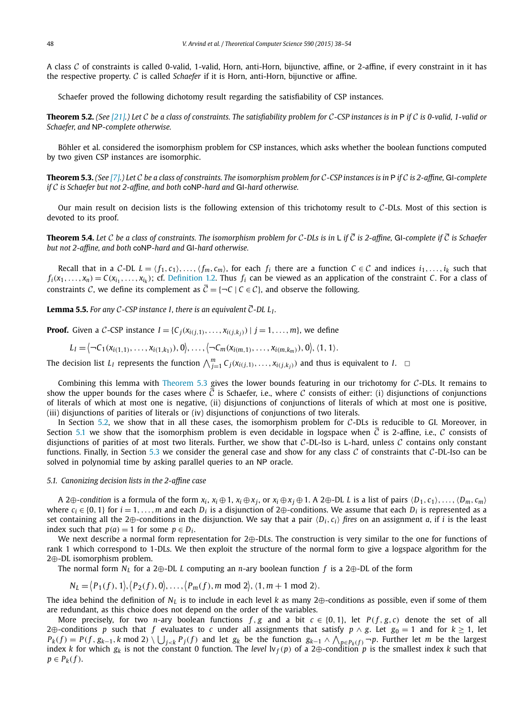A class  $C$  of constraints is called 0-valid, 1-valid, Horn, anti-Horn, bijunctive, affine, or 2-affine, if every constraint in it has the respective property. C is called *Schaefer* if it is Horn, anti-Horn, bijunctive or affine.

Schaefer proved the following dichotomy result regarding the satisfiability of CSP instances.

**Theorem 5.2.** (See [21].) Let C be a class of constraints. The satisfiability problem for C-CSP instances is in P if C is 0-valid, 1-valid or *Schaefer, and* NP*-complete otherwise.*

Böhler et al. considered the isomorphism problem for CSP instances, which asks whether the boolean functions computed by two given CSP instances are isomorphic.

**Theorem 5.3.** (See [7].) Let C be a class of constraints. The isomorphism problem for C-CSP instances is in P if C is 2-affine, GI-complete *if* C *is Schaefer but not 2-affine, and both* coNP*-hard and* GI*-hard otherwise.*

Our main result on decision lists is the following extension of this trichotomy result to  $C$ -DLs. Most of this section is devoted to its proof.

**Theorem 5.4.** Let C be a class of constraints. The isomorphism problem for C-DLs is in L if  $\bar{c}$  is 2-affine, GI-complete if  $\bar{c}$  is Schaefer *but not 2-affine, and both* coNP*-hard and* GI*-hard otherwise.*

Recall that in a C-DL  $L = \langle f_1, c_1 \rangle, \ldots, \langle f_m, c_m \rangle$ , for each  $f_i$  there are a function  $C \in \mathcal{C}$  and indices  $i_1, \ldots, i_k$  such that  $f_i(x_1,...,x_n)=C(x_{i_1},...,x_{i_k})$ ; cf. Definition 1.2. Thus  $f_i$  can be viewed as an application of the constraint C. For a class of constraints C, we define its complement as  $\overline{C} = \{\neg C \mid C \in C\}$ , and observe the following.

**Lemma 5.5.** For any C-CSP instance 1, there is an equivalent  $\overline{\mathcal{C}}$ -DL L<sub>I</sub>.

**Proof.** Given a C-CSP instance  $I = \{C_i(x_{i(i,1)},...,x_{i(i,k,i)}) \mid j = 1,...,m\}$ , we define

 $L_I = \left\langle \neg C_1(x_{i(1,1)},\ldots,x_{i(1,k_1)}),0\right\rangle, \ldots, \left\langle \neg C_m(x_{i(m,1)},\ldots,x_{i(m,k_m)}),0\right\rangle, \langle 1,1\rangle.$ 

The decision list  $L_I$  represents the function  $\bigwedge_{j=1}^m C_j(x_{i(j,1)},\ldots,x_{i(j,k_j)})$  and thus is equivalent to  $I$ .  $\Box$ 

Combining this lemma with Theorem 5.3 gives the lower bounds featuring in our trichotomy for  $C$ -DLs. It remains to show the upper bounds for the cases where C is Schaefer, i.e., where C consists of either: (i) disjunctions of conjunctions of literals of which at most one is negative, (ii) disjunctions of conjunctions of literals of which at most one is positive, (iii) disjunctions of parities of literals or (iv) disjunctions of conjunctions of two literals.

In Section 5.2, we show that in all these cases, the isomorphism problem for C-DLs is reducible to GI. Moreover, in Section 5.1 we show that the isomorphism problem is even decidable in logspace when  $\bar{C}$  is 2-affine, i.e., C consists of disjunctions of parities of at most two literals. Further, we show that  $C$ -DL-Iso is L-hard, unless  $C$  contains only constant functions. Finally, in Section 5.3 we consider the general case and show for any class  $C$  of constraints that  $C$ -DL-Iso can be solved in polynomial time by asking parallel queries to an NP oracle.

#### *5.1. Canonizing decision lists in the 2-affine case*

A 2 $\oplus$ -condition is a formula of the form  $x_i$ ,  $x_i \oplus 1$ ,  $x_i \oplus x_j$ , or  $x_i \oplus x_j \oplus 1$ . A 2 $\oplus$ -DL L is a list of pairs  $\langle D_1, c_1 \rangle$ , ...,  $\langle D_m, c_m \rangle$ where  $c_i \in \{0, 1\}$  for  $i = 1, \ldots, m$  and each  $D_i$  is a disjunction of 2⊕-conditions. We assume that each  $D_i$  is represented as a set containing all the 2⊕-conditions in the disjunction. We say that a pair  $\langle D_i, c_i \rangle$  fires on an assignment *a*, if *i* is the least index such that  $p(a) = 1$  for some  $p \in D_i$ .

We next describe a normal form representation for 2⊕-DLs. The construction is very similar to the one for functions of rank 1 which correspond to 1-DLs. We then exploit the structure of the normal form to give a logspace algorithm for the 2⊕-DL isomorphism problem.

The normal form *N<sup>L</sup>* for a 2⊕-DL *L* computing an *n*-ary boolean function *f* is a 2⊕-DL of the form

$$
N_L = \langle P_1(f), 1 \rangle, \langle P_2(f), 0 \rangle, \ldots, \langle P_m(f), m \bmod 2 \rangle, \langle 1, m+1 \bmod 2 \rangle.
$$

The idea behind the definition of *N<sup>L</sup>* is to include in each level *k* as many 2⊕-conditions as possible, even if some of them are redundant, as this choice does not depend on the order of the variables.

More precisely, for two *n*-ary boolean functions  $f, g$  and a bit  $c \in \{0, 1\}$ , let  $P(f, g, c)$  denote the set of all 2⊕-conditions *p* such that *f* evaluates to *c* under all assignments that satisfy *p* ∧ *g*. Let *g*<sup>0</sup> = 1 and for *k* ≥ 1, let  $P_k(f) = P(f, g_{k-1}, k \mod 2) \setminus \bigcup_{j \leq k} P_j(f)$  and let  $g_k$  be the function  $g_{k-1} \wedge \bigwedge_{p \in P_k(f)} \neg p$ . Further let m be the largest index *k* for which  $g_k$  is not the constant 0 function. The *level*  $\ln f(p)$  of a 2⊕-condition *p* is the smallest index *k* such that  $p \in P_k(f)$ .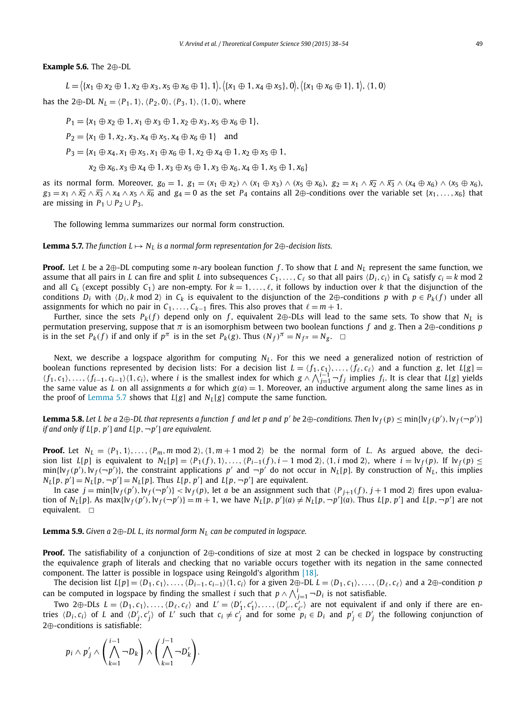#### **Example 5.6.** The 2⊕-DL

 $L = \{(x_1 \oplus x_2 \oplus 1, x_2 \oplus x_3, x_5 \oplus x_6 \oplus 1\}, 1), \{(x_1 \oplus 1, x_4 \oplus x_5), 0\}, \{(x_1 \oplus x_6 \oplus 1\}, 1), (1, 0)\}$ 

has the 2 $\oplus$ -DL  $N_L = \langle P_1, 1 \rangle$ ,  $\langle P_2, 0 \rangle$ ,  $\langle P_3, 1 \rangle$ ,  $\langle 1, 0 \rangle$ , where

 $P_1 = \{x_1 \oplus x_2 \oplus 1, x_1 \oplus x_3 \oplus 1, x_2 \oplus x_3, x_5 \oplus x_6 \oplus 1\},$ 

 $P_2 = \{x_1 \oplus 1, x_2, x_3, x_4 \oplus x_5, x_4 \oplus x_6 \oplus 1\}$  and

 $P_3 = \{x_1 \oplus x_4, x_1 \oplus x_5, x_1 \oplus x_6 \oplus 1, x_2 \oplus x_4 \oplus 1, x_2 \oplus x_5 \oplus 1, x_6 \oplus x_6 \oplus x_7 \oplus x_8 \oplus x_9 \}$ 

*x*<sub>2</sub> ⊕ *x*<sub>6</sub>, *x*<sub>3</sub> ⊕ *x*<sub>4</sub> ⊕ 1, *x*<sub>3</sub> ⊕ *x*<sub>5</sub> ⊕ 1, *x*<sub>3</sub> ⊕ *x*<sub>6</sub>, *x*<sub>4</sub> ⊕ 1, *x*<sub>5</sub> ⊕ 1, *x*<sub>6</sub>}

as its normal form. Moreover,  $g_0 = 1$ ,  $g_1 = (x_1 \oplus x_2) \wedge (x_1 \oplus x_3) \wedge (x_5 \oplus x_6)$ ,  $g_2 = x_1 \wedge \overline{x_2} \wedge \overline{x_3} \wedge (x_4 \oplus x_6) \wedge (x_5 \oplus x_6)$ ,  $g_3 = x_1 \wedge \overline{x_2} \wedge \overline{x_3} \wedge x_4 \wedge x_5 \wedge \overline{x_6}$  and  $g_4 = 0$  as the set  $P_4$  contains all 2⊕-conditions over the variable set {*x*<sub>1</sub>,..., *x*<sub>6</sub>} that are missing in  $P_1 \cup P_2 \cup P_3$ .

The following lemma summarizes our normal form construction.

**Lemma 5.7.** The function  $L \mapsto N_L$  is a normal form representation for  $2 \oplus$ -decision lists.

**Proof.** Let *L* be a 2⊕-DL computing some *n*-ary boolean function *f* . To show that *L* and *N<sup>L</sup>* represent the same function, we assume that all pairs in *L* can fire and split *L* into subsequences  $C_1, \ldots, C_\ell$  so that all pairs  $\langle D_i, c_i \rangle$  in  $C_k$  satisfy  $c_i = k \mod 2$ and all  $C_k$  (except possibly  $C_1$ ) are non-empty. For  $k = 1, \ldots, \ell$ , it follows by induction over *k* that the disjunction of the conditions  $D_i$  with  $\langle D_i, k \mod 2 \rangle$  in  $C_k$  is equivalent to the disjunction of the 2⊕-conditions *p* with  $p \in P_k(f)$  under all assignments for which no pair in  $C_1, \ldots, C_{k-1}$  fires. This also proves that  $\ell = m + 1$ .

Further, since the sets  $P_k(f)$  depend only on f, equivalent 2⊕-DLs will lead to the same sets. To show that  $N_L$  is permutation preserving, suppose that  $\pi$  is an isomorphism between two boolean functions *f* and *g*. Then a 2⊕-conditions *p* is in the set  $P_k(f)$  if and only if  $p^{\pi}$  is in the set  $P_k(g)$ . Thus  $(N_f)^{\pi} = N_f^{\pi} = N_g$ .  $\Box$ 

Next, we describe a logspace algorithm for computing *N<sup>L</sup>* . For this we need a generalized notion of restriction of boolean functions represented by decision lists: For a decision list  $L = \langle f_1, c_1 \rangle, \ldots, \langle f_\ell, c_\ell \rangle$  and a function *g*, let  $L[g] =$  $\langle f_1, c_1 \rangle, \ldots, \langle f_{i-1}, c_{i-1} \rangle \langle 1, c_i \rangle$ , where i is the smallest index for which  $g \wedge \bigwedge_{i=1}^{i-1} -f_j$  implies  $f_i$ . It is clear that  $L[g]$  yields the same value as *L* on all assignments *a* for which  $g(a) = 1$ . Moreover, an inductive argument along the same lines as in the proof of Lemma 5.7 shows that  $L[g]$  and  $N<sub>L</sub>[g]$  compute the same function.

**Lemma 5.8.** Let L be a 2 $\oplus$ -DL that represents a function  $f$  and let  $p$  and  $p'$  be 2 $\oplus$ -conditions. Then  $\text{lv}_f(p) \le \min\{\text{lv}_f(p'), \text{lv}_f(\neg p')\}$ *if* and only if L[p, p'] and L[p, ¬p'] are equivalent.

**Proof.** Let  $N_L = \langle P_1, 1 \rangle, \ldots, \langle P_m, m \bmod 2 \rangle, \langle 1, m+1 \bmod 2 \rangle$  be the normal form of *L*. As argued above, the decision list  $L[p]$  is equivalent to  $N_L[p] = \langle P_1(f), 1 \rangle, \dots, \langle P_{i-1}(f), i-1 \mod 2 \rangle, \langle 1, i \mod 2 \rangle$ , where  $i = \nu_f(p)$ . If  $\nu_f(p) \leq$  $\min\{N_f(p'), N_f(-p')\}$ , the constraint applications *p'* and  $\neg p'$  do not occur in *N<sub>L</sub>*[*p*]. By construction of *N<sub>L</sub>*, this implies  $N_L[p, p'] = N_L[p, \neg p'] = N_L[p]$ . Thus  $L[p, p']$  and  $L[p, \neg p']$  are equivalent.

In case  $j = \min\{l v_f(p'), l v_f(\neg p')\} < l v_f(p)$ , let *a* be an assignment such that  $\langle P_{j+1}(f), j+1 \mod 2 \rangle$  fires upon evaluation of  $N_L[p]$ . As max{ $\{N_f(p'), N_f(\neg p')\}=m+1$ , we have  $N_L[p, p'](a) \neq N_L[p, \neg p'](a)$ . Thus  $L[p, p']$  and  $L[p, \neg p']$  are not equivalent.  $\Box$ 

### **Lemma 5.9.** *Given a* 2⊕*-DL L, its normal form N<sup>L</sup> can be computed in logspace.*

**Proof.** The satisfiability of a conjunction of 2⊕-conditions of size at most 2 can be checked in logspace by constructing the equivalence graph of literals and checking that no variable occurs together with its negation in the same connected component. The latter is possible in logspace using Reingold's algorithm [18].

The decision list  $L[p] = \langle D_1, c_1 \rangle, \dots, \langle D_{i-1}, c_{i-1} \rangle \langle 1, c_i \rangle$  for a given  $2 \oplus$ -DL  $L = \langle D_1, c_1 \rangle, \dots, \langle D_\ell, c_\ell \rangle$  and a  $2 \oplus$ -condition p can be computed in logspace by finding the smallest *i* such that  $p \wedge \bigwedge_{j=1}^{i} \neg D_i$  is not satisfiable.

Two 2⊕-DLs  $L = \langle D_1, c_1 \rangle, \ldots, \langle D_\ell, c_\ell \rangle$  and  $L' = \langle D'_1, c'_1 \rangle, \ldots, \langle D'_{\ell'}, c'_{\ell'} \rangle$  are not equivalent if and only if there are entries  $\langle D_i,c_i\rangle$  of L and  $\langle D'_j,c'_j\rangle$  of L' such that  $c_i\neq c'_j$  and for some  $p_i\in D_i$  and  $p'_j\in D'_j$  the following conjunction of 2⊕-conditions is satisfiable:

$$
p_i \wedge p'_j \wedge \left(\bigwedge_{k=1}^{i-1} \neg D_k\right) \wedge \left(\bigwedge_{k=1}^{j-1} \neg D'_k\right).
$$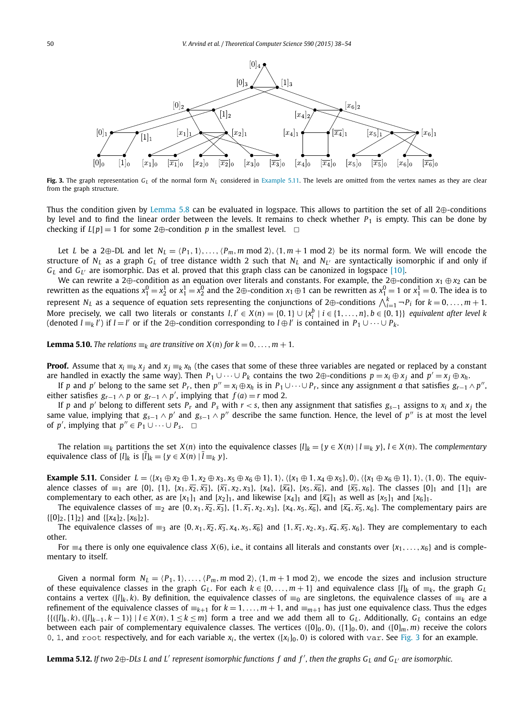

**Fig. 3.** The graph representation *G<sup>L</sup>* of the normal form *N<sup>L</sup>* considered in Example 5.11. The levels are omitted from the vertex names as they are clear from the graph structure.

Thus the condition given by Lemma 5.8 can be evaluated in logspace. This allows to partition the set of all 2⊕-conditions by level and to find the linear order between the levels. It remains to check whether  $P_1$  is empty. This can be done by checking if  $L[p] = 1$  for some 2⊕-condition *p* in the smallest level.  $\Box$ 

Let *L* be a 2 $\oplus$ -DL and let  $N_L = \langle P_1, 1 \rangle, \ldots, \langle P_m, m \mod 2 \rangle, \langle 1, m+1 \mod 2 \rangle$  be its normal form. We will encode the structure of *N<sup>L</sup>* as a graph *G<sup>L</sup>* of tree distance width 2 such that *N<sup>L</sup>* and *N<sup>L</sup>* ′ are syntactically isomorphic if and only if *G<sup>L</sup>* and *G<sup>L</sup>* ′ are isomorphic. Das et al. proved that this graph class can be canonized in logspace [10].

We can rewrite a 2⊕-condition as an equation over literals and constants. For example, the 2⊕-condition *x*<sub>1</sub> ⊕ *x*<sub>2</sub> can be rewritten as the equations  $x_1^0 = x_2^1$  or  $x_1^1 = x_2^0$  and the 2⊕-condition  $x_1 \oplus 1$  can be rewritten as  $x_1^0 = 1$  or  $x_1^1 = 0$ . The idea is to represent *N*<sub>L</sub> as a sequence of equation sets representing the conjunctions of  $2\oplus$ -conditions  $\bigwedge_{i=1}^{k} \neg P_i$  for  $k = 0, ..., m + 1$ . More precisely, we call two literals or constants  $l, l' \in X(n) = \{0, 1\} \cup \{x_i^b | i \in \{1, ..., n\}, b \in \{0, 1\}\}\$ equivalent after level k (denoted *l* ≡<sub>*k*</sub> *l'*) if *l* = *l'* or if the 2⊕-condition corresponding to *l* ⊕ *l'* is contained in *P*<sub>1</sub> ∪ · · · ∪ *P*<sub>*k*</sub>.

**Lemma 5.10.** *The relations*  $\equiv_k$  *are transitive on X*(*n*) *for*  $k = 0, \ldots, m + 1$ *.* 

**Proof.** Assume that  $x_i \equiv_k x_j$  and  $x_j \equiv_k x_h$  (the cases that some of these three variables are negated or replaced by a constant are handled in exactly the same way). Then  $P_1 \cup \cdots \cup P_k$  contains the two 2⊕-conditions  $p = x_i \oplus x_j$  and  $p' = x_j \oplus x_h$ .

If p and p' belong to the same set  $P_r$ , then  $p'' = x_i \oplus x_h$  is in  $P_1 \cup \cdots \cup P_r$ , since any assignment a that satisfies  $g_{r-1} \wedge p''$ , either satisfies  $g_{r-1} \wedge p$  or  $g_{r-1} \wedge p'$ , implying that  $f(a) = r \mod 2$ .

If *p* and *p'* belong to different sets *P<sub>r</sub>* and *P<sub>s</sub>* with *r* < *s*, then any assignment that satisfies  $g_{s-1}$  assigns to  $x_i$  and  $x_j$  the same value, implying that  $g_{s-1} \wedge p'$  and  $g_{s-1} \wedge p''$  describe the same function. Hence, the level of *p*<sup>*''*</sup> is at most the level of *p'*, implying that  $p'' \in P_1 \cup \cdots \cup P_s$ .  $\Box$ 

The relation  $\equiv_k$  partitions the set  $X(n)$  into the equivalence classes  $[l]_k = \{y \in X(n) \mid l \equiv_k y\}, l \in X(n)$ . The complementary equivalence class of  $[l]_k$  is  $[l]_k = \{ y \in X(n) \mid l \equiv_k y \}.$ 

**Example 5.11.** Consider  $L = \{ \{x_1 \oplus x_2 \oplus 1, x_2 \oplus x_3, x_5 \oplus x_6 \oplus 1\}, 1 \}$ ,  $\{ \{x_1 \oplus x_4 \oplus x_5\}, 0 \}$ ,  $\{ \{x_1 \oplus x_6 \oplus 1\}, 1 \}$ ,  $\{1, 0\}$ . The equivalence classes of  $\equiv_1$  are {0}, {1}, { $x_1, \overline{x_2}, \overline{x_3}$ }, { $\overline{x_1}, x_2, x_3$ }, { $x_4$ }, { $\overline{x_4}$ }, { $x_5, \overline{x_6}$ }, and { $\overline{x_5}, x_6$ }. The classes [0]<sub>1</sub> and [1]<sub>1</sub> are complementary to each other, as are  $[x_1]_1$  and  $[x_2]_1$ , and likewise  $[x_4]_1$  and  $[\overline{x_4}]_1$  as well as  $[x_5]_1$  and  $[x_6]_1$ .

The equivalence classes of  $\equiv_2$  are {0, *x*<sub>1</sub>, *x*<sub>2</sub>, *x*<sub>3</sub>}, {1, *x*<sub>1</sub>, *x*<sub>2</sub>, *x*<sub>3</sub>}, {*x*<sub>4</sub>, *x*<sub>5</sub>, *x*<sub>6</sub>}, and {*x*<sub>4</sub>, *x*<sub>5</sub>, *x*<sub>6</sub>}. The complementary pairs are  $\{[0]_2,[1]_2\}$  and  $\{[x_4]_2,[x_6]_2\}.$ 

The equivalence classes of  $\equiv_3$  are {0, *x*<sub>1</sub>,  $\overline{x_2}$ ,  $\overline{x_3}$ , *x*<sub>4</sub>, *x*<sub>5</sub>,  $\overline{x_6}$ } and {1,  $\overline{x_1}$ , *x*<sub>2</sub>, *x*<sub>3</sub>,  $\overline{x_4}$ ,  $\overline{x_5}$ , *x*<sub>6</sub>}. They are complementary to each other.

For  $\equiv_4$  there is only one equivalence class *X*(6), i.e., it contains all literals and constants over {*x*<sub>1</sub>,..., *x*<sub>6</sub>} and is complementary to itself.

Given a normal form  $N_L = (P_1, 1), \ldots, (P_m, m \mod 2), (1, m + 1 \mod 2)$ , we encode the sizes and inclusion structure of these equivalence classes in the graph  $G_L$ . For each  $k \in \{0, \ldots, m+1\}$  and equivalence class  $[I]_k$  of  $\equiv_k$ , the graph  $G_L$ contains a vertex ( $[I]_k, k$ ). By definition, the equivalence classes of  $\equiv_0$  are singletons, the equivalence classes of  $\equiv_k$  are a refinement of the equivalence classes of  $\equiv_{k+1}$  for  $k=1,\ldots,m+1$ , and  $\equiv_{m+1}$  has just one equivalence class. Thus the edges  $\{(\{([l]_k,k),([l]_{k-1},k-1)\}\mid l\in X(n),1\leq k\leq m\}$  form a tree and we add them all to  $G_L$ . Additionally,  $G_L$  contains an edge between each pair of complementary equivalence classes. The vertices ( $[0]_0$ , 0), ( $[1]_0$ , 0), and ( $[0]_m$ , *m*) receive the colors 0, 1, and root respectively, and for each variable  $x_i$ , the vertex ([ $x_i$ ]<sub>0</sub>,0) is colored with var. See Fig. 3 for an example.

**Lemma 5.12.** If two 2 $\oplus$ -DLs L and L' represent isomorphic functions f and f', then the graphs G<sub>L</sub> and G<sub>L'</sub> are isomorphic.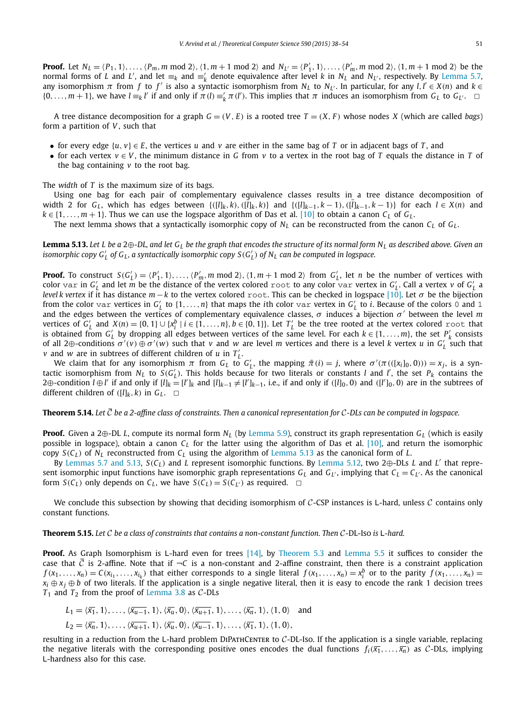**Proof.** Let  $N_L = \langle P_1, 1 \rangle, \ldots, \langle P_m, m \bmod 2 \rangle$ ,  $\langle 1, m+1 \bmod 2 \rangle$  and  $N_{L'} = \langle P'_1, 1 \rangle, \ldots, \langle P'_m, m \bmod 2 \rangle$ ,  $\langle 1, m+1 \bmod 2 \rangle$  be the normal forms of *L* and *L'*, and let  $\equiv_k$  and  $\equiv'_k$  denote equivalence after level *k* in  $N_L$  and  $N_{L'}$ , respectively. By Lemma 5.7, any isomorphism  $\pi$  from  $f$  to  $f'$  is also a syntactic isomorphism from  $N_L$  to  $N_{L'}$ . In particular, for any  $l, l' \in X(n)$  and  $k \in$  $\{0,\ldots,m+1\}$ , we have  $l \equiv_k l'$  if and only if  $\pi(l) \equiv'_k \pi(l')$ . This implies that  $\pi$  induces an isomorphism from  $G_L$  to  $G_{L'}$ .  $\Box$ 

A tree distance decomposition for a graph  $G = (V, E)$  is a rooted tree  $T = (X, F)$  whose nodes X (which are called *bags*) form a partition of *V* , such that

- for every edge  $\{u, v\} \in E$ , the vertices *u* and *v* are either in the same bag of *T* or in adjacent bags of *T*, and
- for each vertex  $v \in V$ , the minimum distance in G from  $v$  to a vertex in the root bag of T equals the distance in T of the bag containing *v* to the root bag.

The *width* of *T* is the maximum size of its bags.

Using one bag for each pair of complementary equivalence classes results in a tree distance decomposition of width 2 for  $G_L$ , which has edges between  $\{([l]_k, k), ([l]_k, k)\}$  and  $\{([l]_{k-1}, k-1), ([l]_{k-1}, k-1)\}$  for each  $l \in X(n)$  and  $k \in \{1, \ldots, m+1\}$ . Thus we can use the logspace algorithm of Das et al. [10] to obtain a canon  $C_L$  of  $G_L$ .

The next lemma shows that a syntactically isomorphic copy of  $N_L$  can be reconstructed from the canon  $C_L$  of  $G_L$ .

Lemma 5.13. Let L be a 2 $\oplus$ -DL, and let G<sub>L</sub> be the graph that encodes the structure of its normal form N<sub>L</sub> as described above. Given an isomorphic copy  $G_L'$  of  $G_L$ , a syntactically isomorphic copy  $S(G_L')$  of  $N_L$  can be computed in logspace.

**Proof.** To construct  $S(G'_L) = \langle P'_1, 1 \rangle, \ldots, \langle P'_m, m \bmod 2 \rangle, \langle 1, m+1 \bmod 2 \rangle$  from  $G'_L$ , let *n* be the number of vertices with  $c$ olor  $var$  in  $G'_L$  and let  $\bar{m}$  be the distance of the vertex colored  $r$ oot to any  $color$  var vertex in  $G'_L$ . Call a vertex  $v$  of  $G'_L$  a *level k vertex* if it has distance  $m - k$  to the vertex colored root. This can be checked in logspace [10]. Let  $\sigma$  be the bijection from the color var vertices in  $G'_{L}$  to  $\{1,\ldots,n\}$  that maps the *i*th color var vertex in  $G'_{L}$  to *i*. Because of the colors 0 and 1 and the edges between the vertices of complementary equivalence classes,  $\sigma$  induces a bijection  $\sigma'$  between the level m vertices of  $G'_{L}$  and  $X(n) = \{0, 1\} \cup \{x_i^b | i \in \{1, ..., n\}, b \in \{0, 1\}\}\)$ . Let  $T'_{L}$  be the tree rooted at the vertex colored root that is obtained from  $G'_{L}$  by dropping all edges between vertices of the same level. For each  $k \in \{1, \ldots, m\}$ , the set  $P'_{k}$  consists of all 2⊕-conditions  $\sigma'(v) \oplus \sigma'(w)$  such that *v* and *w* are level *m* vertices and there is a level *k* vertex *u* in  $G'_L$  such that  $\nu$  and  $w$  are in subtrees of different children of  $u$  in  $T_L'$ .

We claim that for any isomorphism  $\pi$  from  $G_L$  to  $G'_L$ , the mapping  $\tilde{\pi}(i) = j$ , where  $\sigma'(\pi(([x_i]_0, 0))) = x_j$ , is a syntactic isomorphism from  $N_L$  to  $S(G_L')$ . This holds because for two literals or constants *l* and *l'*, the set  $P_k$  contains the  $2\oplus$ -condition  $l \oplus l'$  if and only if  $[l]_k = [l']_k$  and  $[l]_{k-1} \neq [l']_{k-1}$ , i.e., if and only if  $([l]_0, 0)$  and  $([l']_0, 0)$  are in the subtrees of different children of  $([l]_k, k)$  in  $G_L$ .  $\Box$ 

**Theorem 5.14.** Let  $\bar{C}$  be a 2-affine class of constraints. Then a canonical representation for C-DLs can be computed in logspace.

**Proof.** Given a 2⊕-DL *L*, compute its normal form *N<sup>L</sup>* (by Lemma 5.9), construct its graph representation *G<sup>L</sup>* (which is easily possible in logspace), obtain a canon *C<sup>L</sup>* for the latter using the algorithm of Das et al. [10], and return the isomorphic copy  $S(C_L)$  of  $N_L$  reconstructed from  $C_L$  using the algorithm of Lemma 5.13 as the canonical form of *L*.

By Lemmas 5.7 and 5.13, *<sup>S</sup>*(*C<sup>L</sup>* ) and *<sup>L</sup>* represent isomorphic functions. By Lemma 5.12, two <sup>2</sup>⊕-DLs *<sup>L</sup>* and *<sup>L</sup>* ′ that represent isomorphic input functions have isomorphic graph representations  $G_L$  and  $G_{L'}$ , implying that  $C_L = C_{L'}$ . As the canonical form  $S(C_L)$  only depends on  $C_L$ , we have  $S(C_L) = S(C_{L'})$  as required.  $\Box$ 

We conclude this subsection by showing that deciding isomorphism of  $C$ -CSP instances is L-hard, unless  $C$  contains only constant functions.

**Theorem 5.15.** *Let* C *be a class of constraints that contains a non-constant function. Then* C-DL-Iso *is* L*-hard.*

**Proof.** As Graph Isomorphism is L-hard even for trees [14], by Theorem 5.3 and Lemma 5.5 it suffices to consider the case that  $\bar{C}$  is 2-affine. Note that if  $\neg C$  is a non-constant and 2-affine constraint, then there is a constraint application  $f(x_1,...,x_n) = C(x_{i_1},...,x_{i_k})$  that either corresponds to a single literal  $f(x_1,...,x_n) = x_i^b$  or to the parity  $f(x_1,...,x_n) =$  $x_i \oplus x_j \oplus b$  of two literals. If the application is a single negative literal, then it is easy to encode the rank 1 decision trees *T*<sup>1</sup> and *T*<sup>2</sup> from the proof of Lemma 3.8 as C-DLs

$$
L_1 = \langle \overline{x_1}, 1 \rangle, \dots, \langle \overline{x_{u-1}}, 1 \rangle, \langle \overline{x_u}, 0 \rangle, \langle \overline{x_{u+1}}, 1 \rangle, \dots, \langle \overline{x_n}, 1 \rangle, \langle 1, 0 \rangle \text{ and}
$$
  

$$
L_2 = \langle \overline{x_n}, 1 \rangle, \dots, \langle \overline{x_{u+1}}, 1 \rangle, \langle \overline{x_u}, 0 \rangle, \langle \overline{x_{u-1}}, 1 \rangle, \dots, \langle \overline{x_1}, 1 \rangle, \langle 1, 0 \rangle,
$$

resulting in a reduction from the L-hard problem DIPATHCENTER to  $C$ -DL-Iso. If the application is a single variable, replacing the negative literals with the corresponding positive ones encodes the dual functions  $f_i(\overline{x_1},\ldots,\overline{x_n})$  as C-DLs, implying L-hardness also for this case.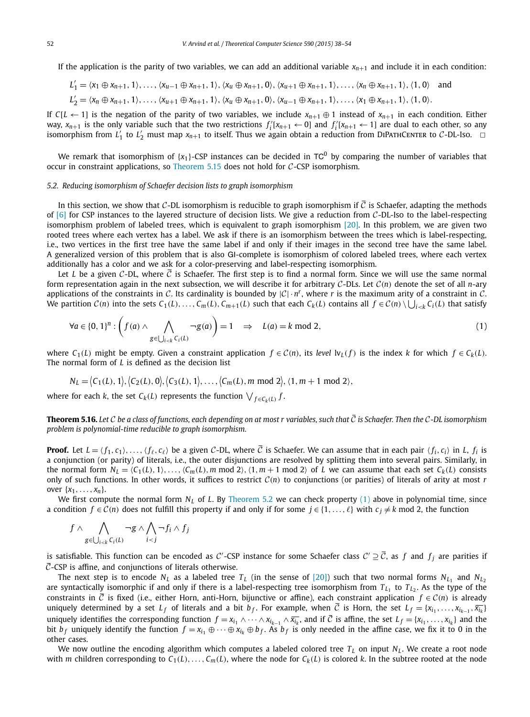If the application is the parity of two variables, we can add an additional variable  $x_{n+1}$  and include it in each condition:

$$
L'_1 = \langle x_1 \oplus x_{n+1}, 1 \rangle, \dots, \langle x_{u-1} \oplus x_{n+1}, 1 \rangle, \langle x_u \oplus x_{n+1}, 0 \rangle, \langle x_{u+1} \oplus x_{n+1}, 1 \rangle, \dots, \langle x_n \oplus x_{n+1}, 1 \rangle, \langle 1, 0 \rangle \text{ and}
$$
  

$$
L'_2 = \langle x_n \oplus x_{n+1}, 1 \rangle, \dots, \langle x_{u+1} \oplus x_{n+1}, 1 \rangle, \langle x_u \oplus x_{n+1}, 0 \rangle, \langle x_{u-1} \oplus x_{n+1}, 1 \rangle, \dots, \langle x_1 \oplus x_{n+1}, 1 \rangle, \langle 1, 0 \rangle.
$$

If *C*[*L* ← 1] is the negation of the parity of two variables, we include  $x_{n+1} \oplus 1$  instead of  $x_{n+1}$  in each condition. Either way,  $x_{n+1}$  is the only variable such that the two restrictions  $f_i^{\prime}[x_{n+1} \leftarrow 0]$  and  $f_i^{\prime}[x_{n+1} \leftarrow 1]$  are dual to each other, so any isomorphism from  $L'_1$  to  $L'_2$  must map  $x_{n+1}$  to itself. Thus we again obtain a reduction from DIPATHCENTER to C-DL-Iso.  $\Box$ 

We remark that isomorphism of  $\{x_1\}$ -CSP instances can be decided in TC<sup>0</sup> by comparing the number of variables that occur in constraint applications, so Theorem 5.15 does not hold for  $C$ -CSP isomorphism.

#### *5.2. Reducing isomorphism of Schaefer decision lists to graph isomorphism*

In this section, we show that C-DL isomorphism is reducible to graph isomorphism if  $\bar{C}$  is Schaefer, adapting the methods of  $[6]$  for CSP instances to the layered structure of decision lists. We give a reduction from C-DL-Iso to the label-respecting isomorphism problem of labeled trees, which is equivalent to graph isomorphism [20]. In this problem, we are given two rooted trees where each vertex has a label. We ask if there is an isomorphism between the trees which is label-respecting, i.e., two vertices in the first tree have the same label if and only if their images in the second tree have the same label. A generalized version of this problem that is also GI-complete is isomorphism of colored labeled trees, where each vertex additionally has a color and we ask for a color-preserving and label-respecting isomorphism.

Let *L* be a given C-DL, where  $\bar{C}$  is Schaefer. The first step is to find a normal form. Since we will use the same normal form representation again in the next subsection, we will describe it for arbitrary C-DLs. Let C(*n*) denote the set of all *n*-ary applications of the constraints in C. Its cardinality is bounded by  $|C| \cdot n^r$ , where *r* is the maximum arity of a constraint in C. We partition  $C(n)$  into the sets  $C_1(L), \ldots, C_m(L), C_{m+1}(L)$  such that each  $C_k(L)$  contains all  $f \in C(n) \setminus \bigcup_{i < k} C_i(L)$  that satisfy

$$
\forall a \in \{0, 1\}^n : \left(f(a) \land \bigwedge_{g \in \bigcup_{i < k} C_i(L)} \neg g(a)\right) = 1 \quad \Rightarrow \quad L(a) = k \text{ mod } 2,\tag{1}
$$

where  $C_1(L)$  might be empty. Given a constraint application  $f \in C(n)$ , its *level*  $\text{lv}_L(f)$  is the index *k* for which  $f \in C_k(L)$ . The normal form of *L* is defined as the decision list

 $N_L = \{C_1(L), 1\}, \{C_2(L), 0\}, \{C_3(L), 1\}, \ldots, \{C_m(L), m \text{ mod } 2\}, \{1, m+1 \text{ mod } 2\},\$ 

where for each *k*, the set  $C_k(L)$  represents the function  $\bigvee_{f \in C_k(L)} f$ .

**Theorem 5.16.** Let C be a class of functions, each depending on at most r variables, such that  $\overline{C}$  is Schaefer. Then the C-DL isomorphism *problem is polynomial-time reducible to graph isomorphism.*

**Proof.** Let  $L = \langle f_1, c_1 \rangle, \ldots, \langle f_\ell, c_\ell \rangle$  be a given C-DL, where  $\overline{C}$  is Schaefer. We can assume that in each pair  $\langle f_i, c_i \rangle$  in *L*,  $f_i$  is a conjunction (or parity) of literals, i.e., the outer disjunctions are resolved by splitting them into several pairs. Similarly, in the normal form  $N_L = \langle C_1(L), 1 \rangle, \ldots, \langle C_m(L), m \mod 2 \rangle, \langle 1, m+1 \mod 2 \rangle$  of *L* we can assume that each set  $C_k(L)$  consists only of such functions. In other words, it suffices to restrict C(*n*) to conjunctions (or parities) of literals of arity at most *r* over  $\{x_1, \ldots, x_n\}.$ 

We first compute the normal form *N<sub>L</sub>* of *L*. By Theorem 5.2 we can check property (1) above in polynomial time, since a condition  $f \in C(n)$  does not fulfill this property if and only if for some  $j \in \{1, ..., \ell\}$  with  $c_j \neq k$  mod 2, the function

$$
f \wedge \bigwedge_{g \in \bigcup_{i < k} C_i(L)} \neg g \wedge \bigwedge_{i < j} \neg f_i \wedge f_j
$$

is satisfiable. This function can be encoded as C'-CSP instance for some Schaefer class  $C' \supseteq \overline{C}$ , as  $f$  and  $f_j$  are parities if  $\overline{C}$ -CSP is affine, and conjunctions of literals otherwise.

The next step is to encode  $N_L$  as a labeled tree  $T_L$  (in the sense of [20]) such that two normal forms  $N_{L_1}$  and  $N_{L_2}$ are syntactically isomorphic if and only if there is a label-respecting tree isomorphism from  $T_{L_1}$  to  $T_{L_2}$ . As the type of the constraints in  $\overline{C}$  is fixed (i.e., either Horn, anti-Horn, bijunctive or affine), each constraint application  $f \in C(n)$  is already uniquely determined by a set  $L_f$  of literals and a bit  $b_f$ . For example, when  $\overline{C}$  is Horn, the set  $L_f = \{x_{i_1}, \ldots, x_{i_{k-1}}, \overline{x_{i_k}}\}$ uniquely identifies the corresponding function  $f = x_{i_1} \wedge \cdots \wedge x_{i_{k-1}} \wedge \overline{x_{i_k}}$ , and if  $\overline{C}$  is affine, the set  $L_f = \{x_{i_1}, \ldots, x_{i_k}\}$  and the bit  $b_f$  uniquely identify the function  $f = x_{i_1} \oplus \cdots \oplus x_{i_k} \oplus b_f$ . As  $b_f$  is only needed in the affine case, we fix it to 0 in the other cases.

We now outline the encoding algorithm which computes a labeled colored tree  $T_L$  on input  $N_L$ . We create a root node with *m* children corresponding to  $C_1(L), \ldots, C_m(L)$ , where the node for  $C_k(L)$  is colored *k*. In the subtree rooted at the node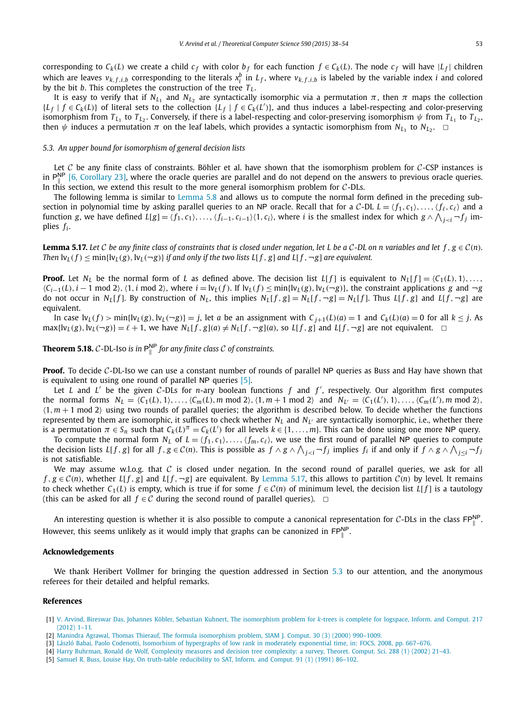corresponding to  $C_k(L)$  we create a child  $c_f$  with color  $b_f$  for each function  $f \in C_k(L)$ . The node  $c_f$  will have  $|L_f|$  children which are leaves  $v_{k,f,i,b}$  corresponding to the literals  $x_i^b$  in  $L_f$ , where  $v_{k,f,i,b}$  is labeled by the variable index *i* and colored by the bit *b*. This completes the construction of the tree *T<sup>L</sup>* .

It is easy to verify that if  $N_{L_1}$  and  $N_{L_2}$  are syntactically isomorphic via a permutation  $\pi$ , then  $\pi$  maps the collection  ${L_f \mid f \in C_k(L)}$  of literal sets to the collection  ${L_f \mid f \in C_k(L')}$ , and thus induces a label-respecting and color-preserving isomorphism from  $T_{L_1}$  to  $T_{L_2}.$  Conversely, if there is a label-respecting and color-preserving isomorphism  $\psi$  from  $T_{L_1}$  to  $T_{L_2}.$ then  $\psi$  induces a permutation  $\pi$  on the leaf labels, which provides a syntactic isomorphism from  $N_{L_1}$  to  $N_{L_2}$ .

#### *5.3. An upper bound for isomorphism of general decision lists*

Let  $C$  be any finite class of constraints. Böhler et al. have shown that the isomorphism problem for  $C$ -CSP instances is in  $P_{\parallel}^{NP}$  [6, Corollary 23], where the oracle queries are parallel and do not depend on the answers to previous oracle queries. In this section, we extend this result to the more general isomorphism problem for  $C$ -DLs.

The following lemma is similar to Lemma 5.8 and allows us to compute the normal form defined in the preceding subsection in polynomial time by asking parallel queries to an NP oracle. Recall that for a C-DL  $L = \langle f_1, c_1 \rangle, \ldots, \langle f_\ell, c_\ell \rangle$  and a function g, we have defined  $L[g] = \langle f_1, c_1 \rangle, \ldots, \langle f_{i-1}, c_{i-1} \rangle \langle 1, c_i \rangle$ , where i is the smallest index for which  $g \wedge \bigwedge_{j < i} \neg f_j$  implies *f<sup>i</sup>* .

**Lemma 5.17.** Let C be any finite class of constraints that is closed under negation, let L be a C-DL on n variables and let  $f, g \in C(n)$ . Then  $\text{lv}_L(f) \le \min{\{\text{lv}_L(g), \text{lv}_L(\neg g)\}}$  if and only if the two lists  $L[f, g]$  and  $L[f, \neg g]$  are equivalent.

**Proof.** Let  $N_L$  be the normal form of *L* as defined above. The decision list  $L[f]$  is equivalent to  $N_L[f] = \langle C_1(L), 1 \rangle, \ldots,$  $\langle C_{i-1}(L), i-1 \mod 2 \rangle$ ,  $\langle 1, i \mod 2 \rangle$ , where  $i = \frac{lv_L(f)}{V_L(f)} \leq \min\{lv_L(g), iv_L(\neg g)\}\$ , the constraint applications g and  $\neg g$ do not occur in N<sub>L</sub>[f]. By construction of N<sub>L</sub>, this implies N<sub>L</sub>[f, g] = N<sub>L</sub>[f],  $\neg$ g] = N<sub>L</sub>[f]. Thus L[f, g] and L[f,  $\neg$ g] are equivalent.

In case  $\mathrm{lv}_L(f)$  > min{ $\mathrm{lv}_L(g)$ ,  $\mathrm{lv}_L(\neg g)$ } = j, let a be an assignment with  $C_{i+1}(L)(a) = 1$  and  $C_k(L)(a) = 0$  for all  $k \leq j$ . As  $\max\{|v_L(g), v_L(\neg g)\}\ = \ell + 1$ , we have  $N_L[f, g](a) \neq N_L[f, \neg g](a)$ , so  $L[f, g]$  and  $L[f, \neg g]$  are not equivalent.  $\Box$ 

**Theorem 5.18.**  $C$ -DL-Iso *is in*  $P_{\parallel}^{NP}$ *for any finite class* C *of constraints.*

**Proof.** To decide C-DL-Iso we can use a constant number of rounds of parallel NP queries as Buss and Hay have shown that is equivalent to using one round of parallel NP queries [5].

Let *L* and *L'* be the given *C*-DLs for *n*-ary boolean functions f and f', respectively. Our algorithm first computes the normal forms  $N_L = \langle C_1(L), 1 \rangle, \dots, \langle C_m(L), m \bmod 2 \rangle, \langle 1, m+1 \bmod 2 \rangle$  and  $N_{L'} = \langle C_1(L'), 1 \rangle, \dots, \langle C_m(L'), m \bmod 2 \rangle,$  $(1, m + 1 \text{ mod } 2)$  using two rounds of parallel queries; the algorithm is described below. To decide whether the functions represented by them are isomorphic, it suffices to check whether  $N_L$  and  $N_{L'}$  are syntactically isomorphic, i.e., whether there is a permutation  $\pi \in S_n$  such that  $C_k(L)^{\pi} = C_k(L')$  for all levels  $k \in \{1, ..., m\}$ . This can be done using one more NP query.

To compute the normal form  $N_L$  of  $L = \langle f_1, c_1 \rangle, \ldots, \langle f_m, c_\ell \rangle$ , we use the first round of parallel NP queries to compute the decision lists  $L[f, g]$  for all  $f, g \in C(n)$ . This is possible as  $f \wedge g \wedge \bigwedge_{j < i} \neg f_j$  implies  $f_i$  if and only if  $f \wedge g \wedge \bigwedge_{j \leq i} \neg f_j$ is not satisfiable.

We may assume w.l.o.g. that  $C$  is closed under negation. In the second round of parallel queries, we ask for all *f*,  $g \in C(n)$ , whether *L*[*f*, *g*] and *L*[*f*,  $\neg g$ ] are equivalent. By Lemma 5.17, this allows to partition *C*(*n*) by level. It remains to check whether  $C_1(L)$  is empty, which is true if for some  $f \in C(n)$  of minimum level, the decision list  $L[f]$  is a tautology (this can be asked for all  $f \in C$  during the second round of parallel queries).  $\Box$ 

An interesting question is whether it is also possible to compute a canonical representation for C-DLs in the class  $\mathsf{FP}^{\mathsf{NP}}_{\parallel}$ . However, this seems unlikely as it would imply that graphs can be canonized in  $\mathsf{FP}_{\parallel}^{\mathsf{NP}}$ .

#### **Acknowledgements**

We thank Heribert Vollmer for bringing the question addressed in Section 5.3 to our attention, and the anonymous referees for their detailed and helpful remarks.

#### **References**

<sup>[1]</sup> V. Arvind, Bireswar Das, Johannes Köbler, Sebastian Kuhnert, The isomorphism problem for *k*-trees is complete for logspace, Inform. and Comput. 217 (2012) 1–11.

<sup>[2]</sup> Manindra Agrawal, Thomas Thierauf, The formula isomorphism problem, SIAM J. Comput. 30 (3) (2000) 990–1009.

<sup>[3]</sup> László Babai, Paolo Codenotti, Isomorhism of hypergraphs of low rank in moderately exponential time, in: FOCS, 2008, pp. 667–676.

<sup>[4]</sup> Harry Buhrman, Ronald de Wolf, Complexity measures and decision tree complexity: a survey, Theoret. Comput. Sci. 288 (1) (2002) 21–43.

<sup>[5]</sup> Samuel R. Buss, Louise Hay, On truth-table reducibility to SAT, Inform. and Comput. 91 (1) (1991) 86–102.